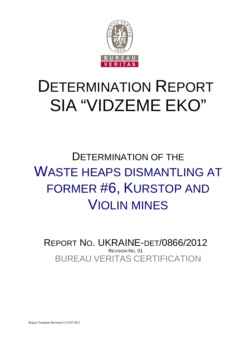

# DETERMINATION REPORT SIA "VIDZEME EKO"

## DETERMINATION OF THE WASTE HEAPS DISMANTLING AT FORMER #6, KURSTOP AND VIOLIN MINES

BUREAU VERITAS CERTIFICATION REPORT NO. UKRAINE-DET/0866/2012 REVISION NO. 01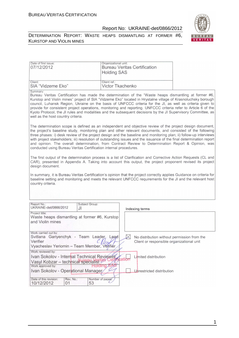

DETERMINATION REPORT: WASTE HEAPS DISMANTLING AT FORMER #6, KURSTOP AND VIOLIN MINES

| Date of first issue:<br>07/12/2012                                                                                                                                                                                                                                                                                                                                                                                                                                                                                                                                                                                                              | Organizational unit:<br><b>Holding SAS</b> | <b>Bureau Veritas Certification</b>                                                                        |  |
|-------------------------------------------------------------------------------------------------------------------------------------------------------------------------------------------------------------------------------------------------------------------------------------------------------------------------------------------------------------------------------------------------------------------------------------------------------------------------------------------------------------------------------------------------------------------------------------------------------------------------------------------------|--------------------------------------------|------------------------------------------------------------------------------------------------------------|--|
| Client:<br>SIA "Vidzeme Eko"                                                                                                                                                                                                                                                                                                                                                                                                                                                                                                                                                                                                                    | Client ref.:<br>Victor Tkachenko           |                                                                                                            |  |
| Summary:<br>Bureau Veritas Certification has made the determination of the "Waste heaps dismantling at former #6,<br>Kurstop and Violin mines" project of SIA "Vidzeme Eko" located in Hrystalne village of Krasnoluchsky borough<br>council, Luhansk Region, Ukraine on the basis of UNFCCC criteria for the JI, as well as criteria given to<br>provide for consistent project operations, monitoring and reporting. UNFCCC criteria refer to Article 6 of the<br>Kyoto Protocol, the JI rules and modalities and the subsequent decisions by the JI Supervisory Committee, as<br>well as the host country criteria.                          |                                            |                                                                                                            |  |
| The determination scope is defined as an independent and objective review of the project design document,<br>the project's baseline study, monitoring plan and other relevant documents, and consisted of the following<br>three phases: i) desk review of the project design and the baseline and monitoring plan; ii) follow-up interviews<br>with project stakeholders; iii) resolution of outstanding issues and the issuance of the final determination report<br>and opinion. The overall determination, from Contract Review to Determination Report & Opinion, was<br>conducted using Bureau Veritas Certification internal procedures. |                                            |                                                                                                            |  |
| The first output of the determination process is a list of Clarification and Corrective Action Requests (CL and<br>CAR), presented in Appendix A. Taking into account this output, the project proponent revised its project<br>design document.                                                                                                                                                                                                                                                                                                                                                                                                |                                            |                                                                                                            |  |
| In summary, it is Bureau Veritas Certification's opinion that the project correctly applies Guidance on criteria for<br>baseline setting and monitoring and meets the relevant UNFCCC requirements for the JI and the relevant host<br>country criteria.                                                                                                                                                                                                                                                                                                                                                                                        |                                            |                                                                                                            |  |
| Report No.:<br>Subject Group:<br>UKRAINE-det/0866/2012<br>JI                                                                                                                                                                                                                                                                                                                                                                                                                                                                                                                                                                                    |                                            | Indexing terms                                                                                             |  |
| Project title:<br>Waste heaps dismantling at former #6, Kurstop<br>and Violin mines                                                                                                                                                                                                                                                                                                                                                                                                                                                                                                                                                             |                                            |                                                                                                            |  |
| Work carried out by:<br>Svitlana Gariyenchyk - Team Leader,<br>Verifier<br>Vyacheslav Yeriomin – Team Member, Vejifier<br>Work reviewed by:                                                                                                                                                                                                                                                                                                                                                                                                                                                                                                     | Lead                                       | $ \mathsf{X} $<br>No distribution without permission from the<br>Client or responsible organizational unit |  |
| Ivan Sokolov - Internal Technical Reviewer<br>Vasyl Kobzar - technical specialist's<br>Work approved by:                                                                                                                                                                                                                                                                                                                                                                                                                                                                                                                                        | atio<br>Holding SA                         | Limited distribution                                                                                       |  |
| Ivan Sokolov - Operational Manager<br>Date of this revision:<br>Rev. No.:<br>10/12/2012<br>53<br>01                                                                                                                                                                                                                                                                                                                                                                                                                                                                                                                                             | Number of pages:                           | Unrestricted distribution                                                                                  |  |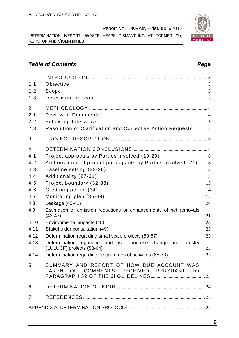DETERMINATION REPORT: WASTE HEAPS DISMANTLING AT FORMER #6, KURSTOP AND VIOLIN MINES

## **Table of Contents Page 2014**

| $\mathbf{1}$   |                                                                                     |                |
|----------------|-------------------------------------------------------------------------------------|----------------|
| 1.1            | Objective                                                                           | 3              |
| 1.2            | Scope                                                                               | 3              |
| 1.3            | Determination team                                                                  | 3              |
| $\overline{2}$ |                                                                                     | $\overline{4}$ |
| 2.1            | <b>Review of Documents</b>                                                          | $\overline{4}$ |
| 2.2            | Follow-up Interviews                                                                | 5              |
| 2.3            | <b>Resolution of Clarification and Corrective Action Requests</b>                   | 5              |
| 3              |                                                                                     |                |
| 4              |                                                                                     |                |
| 4.1            | Project approvals by Parties involved (19-20)                                       | 8              |
| 4.2            | Authorization of project participants by Parties involved (21)                      | 8              |
| 4.3            | Baseline setting (22-26)                                                            | 8              |
| 4.4            | Additionality (27-31)                                                               | 13             |
| 4.5            | Project boundary (32-33)                                                            | 13             |
| 4.6            | Crediting period (34)                                                               | 14             |
| 4.7            | Monitoring plan (35-39)                                                             | 15             |
| 4.8            | Leakage (40-41)                                                                     | 20             |
| 4.9            | Estimation of emission reductions or enhancements of net removals<br>$(42 - 47)$    | 21             |
| 4.10           | Environmental impacts (48)                                                          | 23             |
| 4.11           | Stakeholder consultation (49)                                                       | 23             |
| 4.12           | Determination regarding small scale projects (50-57)                                | 23             |
| 4.13           | Determination regarding land use, land-use change and forestry                      |                |
|                | (LULUCF) projects (58-64)                                                           | 23             |
| 4.14           | Determination regarding programmes of activities (65-73)                            | 23             |
| 5              | SUMMARY AND REPORT OF HOW DUE ACCOUNT WAS<br>TAKEN OF COMMENTS RECEIVED PURSUANT TO |                |
| 6              |                                                                                     |                |
| $\overline{7}$ |                                                                                     |                |
|                |                                                                                     |                |
|                |                                                                                     |                |

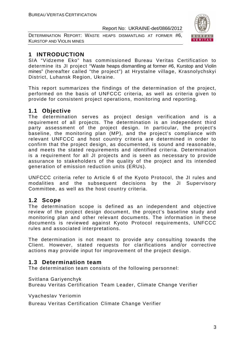DETERMINATION REPORT: WASTE HEAPS DISMANTLING AT FORMER #6, KURSTOP AND VIOLIN MINES



## **1 INTRODUCTION**

SIA "Vidzeme Eko" has commissioned Bureau Veritas Certification to determine its JI project "Waste heaps dismantling at former #6, Kurstop and Violin mines" (hereafter called "the project") at Hrystalne village, Krasnolychskyi District, Luhansk Region, Ukraine.

This report summarizes the findings of the determination of the project, performed on the basis of UNFCCC criteria, as well as criteria given to provide for consistent project operations, monitoring and reporting.

## **1.1 Objective**

The determination serves as project design verification and is a requirement of all projects. The determination is an independent third party assessment of the project design. In particular, the project's baseline, the monitoring plan (MP), and the project's compliance with relevant UNFCCC and host country criteria are determined in order to confirm that the project design, as documented, is sound and reasonable, and meets the stated requirements and identified criteria. Determination is a requirement for all JI projects and is seen as necessary to provide assurance to stakeholders of the quality of the project and its intended generation of emission reduction units (ERUs).

UNFCCC criteria refer to Article 6 of the Kyoto Protocol, the JI rules and modalities and the subsequent decisions by the JI Supervisory Committee, as well as the host country criteria.

## **1.2 Scope**

The determination scope is defined as an independent and objective review of the project design document, the project's baseline study and monitoring plan and other relevant documents. The information in these documents is reviewed against Kyoto Protocol requirements, UNFCCC rules and associated interpretations.

The determination is not meant to provide any consulting towards the Client. However, stated requests for clarifications and/or corrective actions may provide input for improvement of the project design.

## **1.3 Determination team**

The determination team consists of the following personnel:

Svitlana Gariyenchyk

Bureau Veritas Certification Team Leader, Climate Change Verifier

Vyacheslav Yeriomin

Bureau Veritas Certification Climate Change Verifier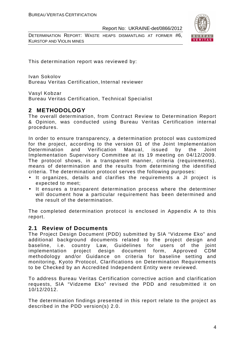DETERMINATION REPORT: WASTE HEAPS DISMANTLING AT FORMER #6, KURSTOP AND VIOLIN MINES



This determination report was reviewed by:

Ivan Sokolov Bureau Veritas Certification, Internal reviewer

Vasyl Kobzar

Bureau Veritas Certification, Technical Specialist

## **2 METHODOLOGY**

The overall determination, from Contract Review to Determination Report & Opinion, was conducted using Bureau Veritas Certification internal procedures.

In order to ensure transparency, a determination protocol was customized for the project, according to the version 01 of the Joint Implementation Determination and Verification Manual, issued by the Joint Implementation Supervisory Committee at its 19 meeting on 04/12/2009. The protocol shows, in a transparent manner, criteria (requirements), means of determination and the results from determining the identified criteria. The determination protocol serves the following purposes:

- It organizes, details and clarifies the requirements a JI project is expected to meet;
- It ensures a transparent determination process where the determiner will document how a particular requirement has been determined and the result of the determination.

The completed determination protocol is enclosed in Appendix A to this report.

#### **2.1 Review of Documents**

The Project Design Document (PDD) submitted by SIA "Vidzeme Eko" and additional background documents related to the project design and baseline, i.e. country Law, Guidelines for users of the joint implementation project design document form, Approved CDM methodology and/or Guidance on criteria for baseline setting and monitoring, Kyoto Protocol, Clarifications on Determination Requirements to be Checked by an Accredited Independent Entity were reviewed.

To address Bureau Veritas Certification corrective action and clarification requests, SIA "Vidzeme Eko" revised the PDD and resubmitted it on 10/12/2012.

The determination findings presented in this report relate to the project as described in the PDD version(s) 2.0.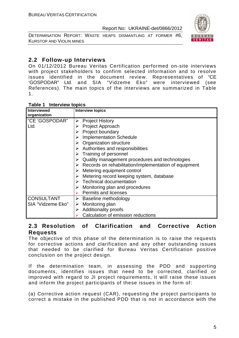DETERMINATION REPORT: WASTE HEAPS DISMANTLING AT FORMER #6, KURSTOP AND VIOLIN MINES



## **2.2 Follow-up Interviews**

On 01/12/2012 Bureau Veritas Certification performed on-site interviews with project stakeholders to confirm selected information and to resolve issues identified in the document review. Representatives of "CE 'GOSPODAR" Ltd. and SIA "Vidzeme Eko" were interviewed (see References). The main topics of the interviews are summarized in Table 1.

| Table 1<br><b>Interview topics</b> |  |
|------------------------------------|--|
|------------------------------------|--|

| <b>Interviewed</b><br>organization | <b>Interview topics</b>                                                |
|------------------------------------|------------------------------------------------------------------------|
| "CE 'GOSPODAR"                     | <b>Project History</b><br>➤                                            |
| Ltd.                               | <b>Project Approach</b>                                                |
|                                    | <b>Project boundary</b>                                                |
|                                    | $\triangleright$ Implementation Schedule                               |
|                                    | $\triangleright$ Organization structure                                |
|                                    | $\triangleright$ Authorities and responsibilities                      |
|                                    | Training of personnel                                                  |
|                                    | Quality management procedures and technologies                         |
|                                    | $\triangleright$ Records on rehabilitation/implementation of equipment |
|                                    | $\triangleright$ Metering equipment control                            |
|                                    | Metering record keeping system, database                               |
|                                    | $\triangleright$ Technical documentation                               |
|                                    | $\triangleright$ Monitoring plan and procedures                        |
|                                    | <b>Permits and licenses</b>                                            |
| <b>CONSULTANT</b>                  | $\triangleright$ Baseline methodology                                  |
| SIA "Vidzeme Eko"                  | Monitoring plan<br>➤                                                   |
|                                    | $\triangleright$ Additionality proofs                                  |
|                                    | Calculation of emission reductions                                     |

## **2.3 Resolution of Clarification and Corrective Action Requests**

The objective of this phase of the determination is to raise the requests for corrective actions and clarification and any other outstanding issues that needed to be clarified for Bureau Veritas Certification positive conclusion on the project design.

If the determination team, in assessing the PDD and supporting documents, identifies issues that need to be corrected, clarified or improved with regard to JI project requirements, it will raise these issues and inform the project participants of these issues in the form of:

(a) Corrective action request (CAR), requesting the project participants to correct a mistake in the published PDD that is not in accordance with the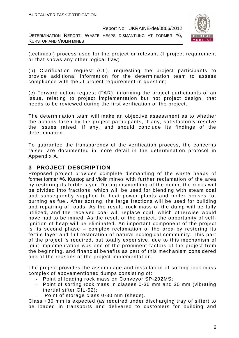DETERMINATION REPORT: WASTE HEAPS DISMANTLING AT FORMER #6, KURSTOP AND VIOLIN MINES



(technical) process used for the project or relevant JI project requirement or that shows any other logical flaw;

(b) Clarification request (CL), requesting the project participants to provide additional information for the determination team to assess compliance with the JI project requirement in question;

(c) Forward action request (FAR), informing the project participants of an issue, relating to project implementation but not project design, that needs to be reviewed during the first verification of the project.

The determination team will make an objective assessment as to whether the actions taken by the project participants, if any, satisfactorily resolve the issues raised, if any, and should conclude its findings of the determination.

To guarantee the transparency of the verification process, the concerns raised are documented in more detail in the determination protocol in Appendix A.

## **3 PROJECT DESCRIPTION**

Proposed project provides complete dismantling of the waste heaps of former former #6, Kurstop and Violin mines with further reclamation of the area by restoring its fertile layer. During dismantling of the dump, the rocks will be divided into fractions, which will be used for blending with steam coal and subsequently supplied to heat power plants and boiler houses for burning as fuel. After sorting, the large fractions will be used for building and repairing of roads. As the result, rock mass of the dump will be fully utilized, and the received coal will replace coal, which otherwise would have had to be mined. As the result of the project, the opportunity of selfignition of heap will be eliminated. An important component of the project is its second phase – complex reclamation of the area by restoring its fertile layer and full restoration of natural ecological community. This part of the project is required, but totally expensive, due to this mechanism of joint implementation was one of the prominent factors of the project from the beginning, and financial benefits as part of this mechanism considered one of the reasons of the project implementation.

The project provides the assemblage and installation of sorting rock mass complex of abovementioned dumps consisting of:

- Point of loading rock mass on Conveyor SP-202MS;
- Point of sorting rock mass in classes 0-30 mm and 30 mm (vibrating inertial sifter GIL-52);
	- Point of storage class 0-30 mm (sheds).

Class +30 mm is expected (as required under discharging tray of sifter) to be loaded in transports and delivered to customers for building and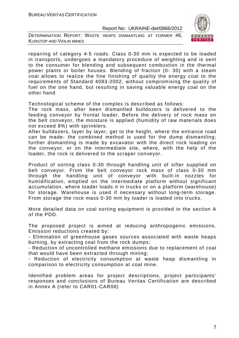DETERMINATION REPORT: WASTE HEAPS DISMANTLING AT FORMER #6, KURSTOP AND VIOLIN MINES



repairing of category 4-5 roads. Class 0-30 mm is expected to be loaded in transports, undergoes a mandatory procedure of weighting and is sent to the consumer for blending and subsequent combustion in the thermal power plants or boiler houses. Blending of fraction (0- 30) with a steam coal allows to realize the fine finishing of quality the energy coal to the requirements of Standard 4083-2002, without compromising the quality of fuel on the one hand, but resulting in saving valuable energy coal on the other hand

Technological scheme of the complex is described as follows:

The rock mass, after been dismantled bulldozers is delivered to the feeding conveyor by frontal loader. Before the delivery of rock mass on the belt conveyor, the moisture is applied (humidity of raw materials does not exceed 8%) with sprinklers.

After bulldozers, layer by layer, get to the height, where the entrance road can be made- the combined method is used for the dump dismantling; further dismantling is made by excavator with the direct rock loading on the conveyor, or on the intermediate site, where, with the help of the loader, the rock is delivered to the scraper conveyor.

Product of sorting class 0-30 through handling unit of sifter supplied on belt conveyor. From the belt conveyor rock mass of class 0-30 mm through the handling unit of conveyor with built-in nozzles for humidification, emptied on the intermediate platform without significant accumulation, where loader loads it in trucks or on a platform (warehouse) for storage. Warehouse is used if necessary without long-term storage. From storage the rock mass 0-30 mm by loader is loaded into trucks.

More detailed data on coal sorting equipment is provided in the section A of the PDD.

The proposed project is aimed at reducing anthropogenic emissions. Emission reductions created by:

- Elimination of greenhouse gases sources associated with waste heaps burning, by extracting coal from the rock dumps;

- Reduction of uncontrolled methane emissions due to replacement of coal that would have been extracted through mining;

Reduction of electricity consumption at waste heap dismantling in comparison to electricity consumption at coal mine.

Identified problem areas for project descriptions, project participants' responses and conclusions of Bureau Veritas Certification are described in Annex A (refer to CAR01-CAR06)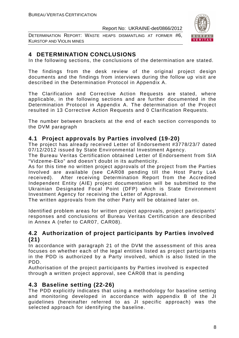DETERMINATION REPORT: WASTE HEAPS DISMANTLING AT FORMER #6, KURSTOP AND VIOLIN MINES



## **4 DETERMINATION CONCLUSIONS**

In the following sections, the conclusions of the determination are stated.

The findings from the desk review of the original project design documents and the findings from interviews during the follow up visit are described in the Determination Protocol in Appendix A.

The Clarification and Corrective Action Requests are stated, where applicable, in the following sections and are further documented in the Determination Protocol in Appendix A. The determination of the Project resulted in 13 Corrective Action Requests and 0 Clarification Requests.

The number between brackets at the end of each section corresponds to the DVM paragraph

## **4.1 Project approvals by Parties involved (19-20)**

The project has already received Letter of Endorsement #3778/23/7 dated 07/12/2012 issued by State Environmental Investment Agency.

The Bureau Veritas Certification obtained Letter of Endorsement from SIA "Vidzeme-Eko" and doesn't doubt in its authenticity.

As for this time no written project approvals of the project from the Parties Involved are available (see CAR08 pending till the Host Party LoA received). After receiving Determination Report from the Accredited Independent Entity (AIE) project documentation will be submitted to the Ukrainian Designated Focal Point (DFP) which is State Environment Investment Agency for receiving the Letter of Approval.

The written approvals from the other Party will be obtained later on.

Identified problem areas for written project approvals, project participants' responses and conclusions of Bureau Veritas Certification are described in Annex A (refer to CAR07, CAR08).

## **4.2 Authorization of project participants by Parties involved (21)**

In accordance with paragraph 21 of the DVM the assessment of this area focuses on whether each of the legal entities listed as project participants in the PDD is authorized by a Party involved, which is also listed in the PDD.

Authorisation of the project participants by Parties involved is expected through a written project approval, see CAR08 that is pending

## **4.3 Baseline setting (22-26)**

The PDD explicitly indicates that using a methodology for baseline setting and monitoring developed in accordance with appendix B of the JI guidelines (hereinafter referred to as JI specific approach) was the selected approach for identifying the baseline.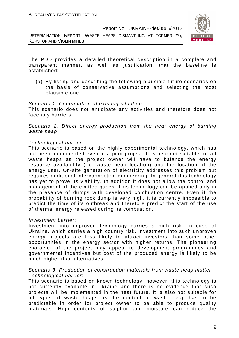DETERMINATION REPORT: WASTE HEAPS DISMANTLING AT FORMER #6, KURSTOP AND VIOLIN MINES



The PDD provides a detailed theoretical description in a complete and transparent manner, as well as justification, that the baseline is established:

(a) By listing and describing the following plausible future scenarios on the basis of conservative assumptions and selecting the most plausible one:

#### Scenario 1. Continuation of existing situation

This scenario does not anticipate any activities and therefore does not face any barriers.

#### Scenario 2. Direct energy production from the heat energy of burning waste heap

#### Technological barrier:

This scenario is based on the highly experimental technology, which has not been implemented even in a pilot project. It is also not suitable for all waste heaps as the project owner will have to balance the energy resource availability (i.e. waste heap location) and the location of the energy user. On-site generation of electricity addresses this problem but requires additional interconnection engineering. In general this technology has yet to prove its viability. In addition it does not allow the control and management of the emitted gases. This technology can be applied only in the presence of dumps with developed combustion centre. Even if the probability of burning rock dump is very high, it is currently impossible to predict the time of its outbreak and therefore predict the start of the use of thermal energy released during its combustion.

#### Investment barrier:

Investment into unproven technology carries a high risk. In case of Ukraine, which carries a high country risk, investment into such unproven energy projects are less likely to attract investors than some other opportunities in the energy sector with higher returns. The pioneering character of the project may appeal to development programmes and governmental incentives but cost of the produced energy is likely to be much higher than alternatives.

#### Scenario 3. Production of construction materials from waste heap matter Technological barrier:

This scenario is based on known technology, however, this technology is not currently available in Ukraine and there is no evidence that such projects will be implemented in the near future. It is also not suitable for all types of waste heaps as the content of waste heap has to be predictable in order for project owner to be able to produce quality materials. High contents of sulphur and moisture can reduce the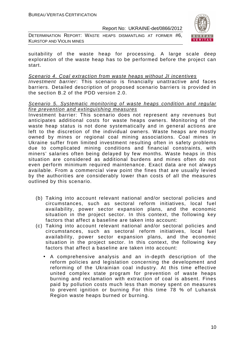DETERMINATION REPORT: WASTE HEAPS DISMANTLING AT FORMER #6, KURSTOP AND VIOLIN MINES



suitability of the waste heap for processing. A large scale deep exploration of the waste heap has to be performed before the project can start.

#### Scenario 4. Coal extraction from waste heaps without JI incentives

Investment barrier: This scenario is financially unattractive and faces barriers. Detailed description of proposed scenario barriers is provided in the section B.2 of the PDD version 2.0.

#### Scenario 5. Systematic monitoring of waste heaps condition and regular fire prevention and extinguishing measures

Investment barrier: This scenario does not represent any revenues but anticipates additional costs for waste heaps owners. Monitoring of the waste heap status is not done systematically and in general actions are left to the discretion of the individual owners. Waste heaps are mostly owned by mines or regional coal mining associations. Coal mines in Ukraine suffer from limited investment resulting often in safety problems due to complicated mining conditions and financial constraints, with miners' salaries often being delayed by few months. Waste heaps in this situation are considered as additional burdens and mines often do not even perform minimum required maintenance. Exact data are not always available. From a commercial view point the fines that are usually levied by the authorities are considerably lower than costs of all the measures outlined by this scenario.

- (b) Taking into account relevant national and/or sectoral policies and circumstances, such as sectoral reform initiatives, local fuel availability, power sector expansion plans, and the economic situation in the project sector. In this context, the following key factors that affect a baseline are taken into account:
- (c) Taking into account relevant national and/or sectoral policies and circumstances, such as sectoral reform initiatives, local fuel availability, power sector expansion plans, and the economic situation in the project sector. In this context, the following key factors that affect a baseline are taken into account:
	- A comprehensive analysis and an in-depth description of the reform policies and legislation concerning the development and reforming of the Ukrainian coal industry. At this time effective united complex state program for prevention of waste heaps burning and reclamation with extraction of coal is absent. Fines paid by pollution costs much less than money spent on measures to prevent ignition or burning For this time 78 % of Luhansk Region waste heaps burned or burning.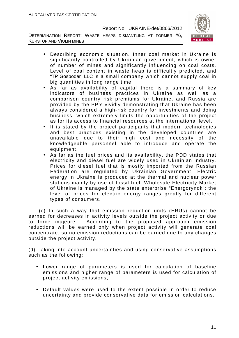DETERMINATION REPORT: WASTE HEAPS DISMANTLING AT FORMER #6, KURSTOP AND VIOLIN MINES



- Describing economic situation. Inner coal market in Ukraine is significantly controlled by Ukrainian government, which is owner of number of mines and significantly influencing on coal costs. Level of coal content in waste heap is difficultly predicted, and "TP Gospodar" LLC is a small company which cannot supply coal in big quantities in long range time.
- As far as availability of capital there is a summary of key indicators of business practices in Ukraine as well as a comparison country risk premiums for Ukraine, and Russia are provided by the PP's vividly demonstrating that Ukraine has been always considered a high-risk country for investments and doing business, which extremely limits the opportunities of the project as for its access to financial resources at the international level.
- It is stated by the project participants that modern technologies and best practices existing in the developed countries are unavailable due to their high cost and necessity of the knowledgeable personnel able to introduce and operate the equipment.
- As far as the fuel prices and its availability, the PDD states that electricity and diesel fuel are widely used in Ukrainian industry. Prices for diesel fuel that is mostly imported from the Russian Federation are regulated by Ukrainian Government. Electric energy in Ukraine is produced at the thermal and nuclear power stations mainly by use of fossil fuel. Wholesale Electricity Market of Ukraine is managed by the state enterprise "Energorynok"; the level of prices for electric energy ranges greatly for different types of consumers.

 (c) In such a way that emission reduction units (ERUs) cannot be earned for decreases in activity levels outside the project activity or due to force majeure. According to the proposed approach emission reductions will be earned only when project activity will generate coal concentrate, so no emission reductions can be earned due to any changes outside the project activity.

(d) Taking into account uncertainties and using conservative assumptions such as the following:

- Lower range of parameters is used for calculation of baseline emissions and higher range of parameters is used for calculation of project activity emissions;
- Default values were used to the extent possible in order to reduce uncertainty and provide conservative data for emission calculations.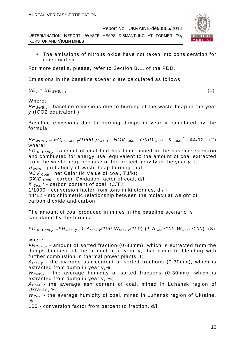DETERMINATION REPORT: WASTE HEAPS DISMANTLING AT FORMER #6, KURSTOP AND VIOLIN MINES

• The emissions of nitrous oxide have not taken into consideration for conservatism

For more details, please, refer to Section B.1. of the PDD.

Emissions in the baseline scenario are calculated as follows:

 $BE_v = BE_{WHB.v}$ , (1)

Where:

 $BE<sub>WHB,V</sub>$  - baseline emissions due to burning of the waste heap in the year y (tCO2 equivalent ),

Baseline emissions due to burning dumps in year y calculated by the formula:

 $BE_{WHB,y} = FC_{BE,Coal,y}$ /1000 $\cdot \rho_{WHB}$   $\cdot$  NCV  $_{Coal}$   $\cdot$  OXID  $_{Coal}$   $\cdot$  K  $_{Coal}$   $\cdot$  44/12 (2) where:

 $FC_{BE,Coal,v}$  - amount of coal that has been mined in the baseline scenario and combusted for energy use, equivalent to the amount of coal extracted from the waste heap because of the project activity in the year y, t;

 $\rho$  w<sub>HB</sub> - probability of waste heap burning, d/l;

 $NCV_{Coal}$  - net Calorific Value of coal, TJ/kt;

OXID  $_{Coal}$  - carbon Oxidation factor of coal, d/l;

 $K_{\text{Coal}}^c$  - carbon content of coal, tC/TJ;

1/1000 - conversion factor from tons in kilotonnes, d / l

44/12 - stoichiometric relationship between the molecular weight of carbon dioxide and carbon.

The amount of coal produced in mines in the baseline scenario is calculated by the formula:

 $FC_{BE,Coal,v} = FR_{Coal,v} (1-A_{rock,v}/100-W_{rock,v}/100) (1-A_{Coal}/100-W_{Coal}/100)$  (3)

where:

 $FR_{\text{Coal},y}$  - amount of sorted fraction (0-30mm), which is extracted from the dumps because of the project in a year y, that came to blending with further combustion in thermal power plants, t;

 $A_{rock, v}$  - the average ash content of sorted fractions (0-30mm), which is extracted from dump in year y,%

 $W_{rock, v}$  - the average humidity of sorted fractions (0-30mm), which is extracted from dump in year y, %;

 $A_{Coal}$  - the average ash content of coal, mined in Luhansk region of Ukraine, %;

 $W_{Coal}$  - the average humidity of coal, mined in Luhansk region of Ukraine, %;

100 - conversion factor from percent to fraction, d/l.

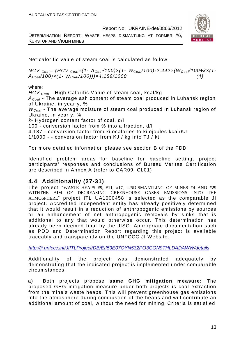DETERMINATION REPORT: WASTE HEAPS DISMANTLING AT FORMER #6, KURSTOP AND VIOLIN MINES



Net calorific value of steam coal is calculated as follow:

 $NCV_{Coal} = (HCV_{Coal} \times (1-A_{Coal}/100) \times (1-W_{Coal}/100) - 2,442 \times (W_{Coal}/100 + k \times (1-W_{Coal}))$  $A_{Coal}/100) \times (1-W_{Coal}/100)) \times 4,189/1000$  (4)

where:

HCV <sub>Coal</sub> - High Calorific Value of steam coal, kcal/kg

 $A_{Coal}$  - The average ash content of steam coal produced in Luhansk region of Ukraine, in year y, %

 $W_{Coal}$  - The average moisture of steam coal produced in Luhansk region of Ukraine, in year y, %

k- Hydrogen content factor of coal, d/l

100 - conversion factor from % into a fraction, d/l

4.187 - conversion factor from kilocalories to kilojoules kcal/KJ

1/1000 - - conversion factor from KJ / kg into TJ / kt.

For more detailed information please see section B of the PDD

Identified problem areas for baseline for baseline setting, project participants' responses and conclusions of Bureau Veritas Certification are described in Annex A (refer to CAR09, CL01)

## **4.4 Additionality (27-31)**

The project "WASTE HEAPS #9, #11, #17, #25DISMANTLING OF MINES #4 AND #29 WITHTHE AIM OF DECREASING GREENHOUSE GASES EMISSIONS INTO THE ATMOSPHERE" project ITL UA1000458 is selected as the comparable JI project. Accredited independent entity has already positively determined that it would result in a reduction of anthropogenic emissions by sources or an enhancement of net anthropogenic removals by sinks that is additional to any that would otherwise occur. This determination has already been deemed final by the JISC. Appropriate documentation such as PDD and Determination Report regarding this project is available traceably and transparently on the UNFCCC JI Website.

http://ji.unfccc.int/JIITLProject/DB/EII59E07OYN532PQ3GON9THLDADAWW/details

Additionality of the project was demonstrated adequately by demonstrating that the indicated project is implemented under comparable circumstances:

a) Both projects propose **same GHG mitigation measure:** The proposed GHG mitigation measure under both projects is coal extraction from the mine's waste heaps. This will prevent greenhouse gas emissions into the atmosphere during combustion of the heaps and will contribute an additional amount of coal, without the need for mining. Criteria is satisfied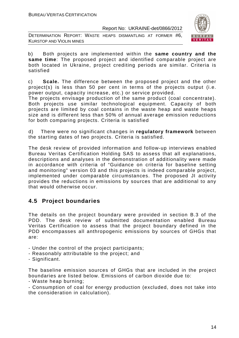DETERMINATION REPORT: WASTE HEAPS DISMANTLING AT FORMER #6, KURSTOP AND VIOLIN MINES



b) Both projects are implemented within the **same country and the same time**: The proposed project and identified comparable project are both located in Ukraine, project crediting periods are similar. Criteria is satisfied

c) **Scale.** The difference between the proposed project and the other project(s) is less than 50 per cent in terms of the projects output (i.e. power output, capacity increase, etc.) or service provided.

The projects envisage production of the same product (coal concentrate). Both projects use similar technological equipment. Capacity of both projects are limited by coal contains in the waste heap and waste heaps size and is different less than 50% of annual average emission reductions for both comparing projects. Criteria is satisfied

d) There were no significant changes in **regulatory framework** between the starting dates of two projects. Criteria is satisfied.

The desk review of provided information and follow-up interviews enabled Bureau Veritas Certification Holding SAS to assess that all explanations, descriptions and analyses in the demonstration of additionality were made in accordance with criteria of "Guidance on criteria for baseline setting and monitoring" version 03 and this projects is indeed comparable project, implemented under comparable circumstances. The proposed JI activity provides the reductions in emissions by sources that are additional to any that would otherwise occur.

## **4.5 Project boundaries**

The details on the project boundary were provided in section B.3 of the PDD. The desk review of submitted documentation enabled Bureau Veritas Certification to assess that the project boundary defined in the PDD encompasses all anthropogenic emissions by sources of GHGs that are:

- Under the control of the project participants;
- Reasonably attributable to the project; and
- Significant.

The baseline emission sources of GHGs that are included in the project boundaries are listed below. Emissions of carbon dioxide due to:

- Waste heap burning;

- Consumption of coal for energy production (excluded, does not take into the consideration in calculation).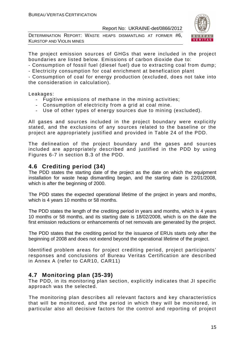DETERMINATION REPORT: WASTE HEAPS DISMANTLING AT FORMER #6, KURSTOP AND VIOLIN MINES



The project emission sources of GHGs that were included in the project boundaries are listed below. Emissions of carbon dioxide due to:

- Consumption of fossil fuel (diesel fuel) due to extracting coal from dump;

- Electricity consumption for coal enrichment at benefication plant

- Consumption of coal for energy production (excluded, does not take into the consideration in calculation).

Leakages:

- Fugitive emissions of methane in the mining activities;
- Consumption of electricity from a grid at coal mine.
- Use of other types of energy sources due to mining (excluded).

All gases and sources included in the project boundary were explicitly stated, and the exclusions of any sources related to the baseline or the project are appropriately justified and provided in Table 24 of the PDD.

The delineation of the project boundary and the gases and sources included are appropriately described and justified in the PDD by using Figures 6-7 in section B.3 of the PDD.

## **4.6 Crediting period (34)**

The PDD states the starting date of the project as the date on which the equipment installation for waste heap dismantling began, and the starting date is 22/01/2008, which is after the beginning of 2000.

The PDD states the expected operational lifetime of the project in years and months, which is 4 years 10 months or 58 months.

The PDD states the length of the crediting period in years and months, which is 4 years 10 months or 58 months, and its starting date is 18/02/2008, which is on the date the first emission reductions or enhancements of net removals are generated by the project.

The PDD states that the crediting period for the issuance of ERUs starts only after the beginning of 2008 and does not extend beyond the operational lifetime of the project.

Identified problem areas for project crediting period, project participants' responses and conclusions of Bureau Veritas Certification are described in Annex A (refer to CAR10, CAR11)

## **4.7 Monitoring plan (35-39)**

The PDD, in its monitoring plan section, explicitly indicates that JI specific approach was the selected.

The monitoring plan describes all relevant factors and key characteristics that will be monitored, and the period in which they will be monitored, in particular also all decisive factors for the control and reporting of project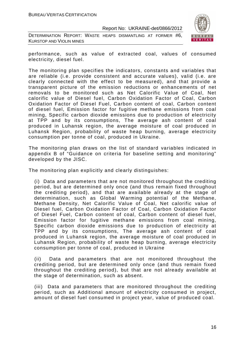DETERMINATION REPORT: WASTE HEAPS DISMANTLING AT FORMER #6, KURSTOP AND VIOLIN MINES



performance, such as value of extracted coal, values of consumed electricity, diesel fuel.

The monitoring plan specifies the indicators, constants and variables that are reliable (i.e. provide consistent and accurate values), valid (i.e. are clearly connected with the effect to be measured), and that provide a transparent picture of the emission reductions or enhancements of net removals to be monitored such as Net Calorific Value of Coal, Net calorific value of Diesel fuel, Carbon Oxidation Factor of Coal, Carbon Oxidation Factor of Diesel Fuel, Carbon content of coal, Carbon content of diesel fuel, Emission factor for fugitive methane emissions from coal mining, Specific carbon dioxide emissions due to production of electricity at TPP and by its consumptions, The average ash content of coal produced in Luhansk region, the average moisture of coal produced in Luhansk Region, probability of waste heap burning, average electricity consumption per tonne of coal, produced in Ukraine.

The monitoring plan draws on the list of standard variables indicated in appendix B of "Guidance on criteria for baseline setting and monitoring" developed by the JISC.

The monitoring plan explicitly and clearly distinguishes:

(i) Data and parameters that are not monitored throughout the crediting period, but are determined only once (and thus remain fixed throughout the crediting period), and that are available already at the stage of determination, such as Global Warming potential of the Methane, Methane Density, Net Calorific Value of Coal, Net calorific value of Diesel fuel, Carbon Oxidation Factor of Coal, Carbon Oxidation Factor of Diesel Fuel, Carbon content of coal, Carbon content of diesel fuel, Emission factor for fugitive methane emissions from coal mining, Specific carbon dioxide emissions due to production of electricity at TPP and by its consumptions, The average ash content of coal produced in Luhansk region, the average moisture of coal produced in Luhansk Region, probability of waste heap burning, average electricity consumption per tonne of coal, produced in Ukraine

(ii) Data and parameters that are not monitored throughout the crediting period, but are determined only once (and thus remain fixed throughout the crediting period), but that are not already available at the stage of determination, such as absent.

(iii) Data and parameters that are monitored throughout the crediting period, such as Additional amount of electricity consumed in project, amount of diesel fuel consumed in project year, value of produced coal.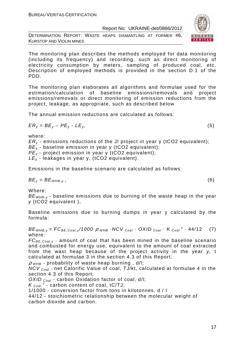DETERMINATION REPORT: WASTE HEAPS DISMANTLING AT FORMER #6, KURSTOP AND VIOLIN MINES

The monitoring plan describes the methods employed for data monitoring (including its frequency) and recording, such as direct monitoring of electricity consumption by meters, sampling of produced coal, etc. Description of employed methods is provided in the section D.1 of the PDD.

The monitoring plan elaborates all algorithms and formulae used for the estimation/calculation of baseline emissions/removals and project emissions/removals or direct monitoring of emission reductions from the project, leakage, as appropriate, such as described below

The annual emission reductions are calculated as follows:

$$
ER_y = BE_y - PE_y - LE_y, \tag{5}
$$

where:

 $ER<sub>v</sub>$  - emissions reductions of the JI project in year y (tCO2 equivalent);  $BE_v$  - baseline emission in year y (tCO2 equivalent);  $PE<sub>v</sub>$  - project emission in year y (tCO2 equivalent);  $LE_v$  - leakages in year y, (tCO2 equivalent).

Emissions in the baseline scenario are calculated as follows:

 $BE_v = BE_{WHB.v}$ , (6)

Where:

 $BE<sub>WHB,V</sub>$  - baseline emissions due to burning of the waste heap in the year y (tCO2 equivalent ),

Baseline emissions due to burning dumps in year y calculated by the formula:

 $BE_{WHB,y} = FC_{BE,Coal,y}/1000 \cdot \rho_{WHB} \cdot NCV_{Coal} \cdot OXID_{Coal} \cdot K_{Coal}^c \cdot 44/12$  (7) where:

 $FC_{BE,Coal,v}$  - amount of coal that has been mined in the baseline scenario and combusted for energy use, equivalent to the amount of coal extracted from the wast heap because of the project activity in the year y, t calculated at formulae 3 in the section 4.3 of this Report;

 $\rho$  w<sub>HB</sub> - probability of waste heap burning, d/l;

 $NCV_{Coal}$  - net Calorific Value of coal, TJ/kt, calculated at formulae 4 in the section 4.3 of this Report;

OXID  $_{Coal}$  - carbon Oxidation factor of coal, d/l;

 $K_{\text{Coal}}^{\text{c}}$  - carbon content of coal, tC/TJ;

1/1000 - conversion factor from tons in kilotonnes, d / l

44/12 - stoichiometric relationship between the molecular weight of carbon dioxide and carbon.

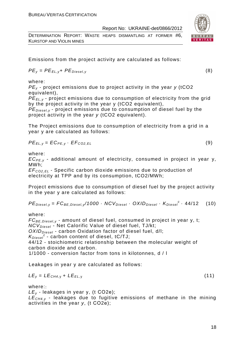DETERMINATION REPORT: WASTE HEAPS DISMANTLING AT FORMER #6, KURSTOP AND VIOLIN MINES

Emissions from the project activity are calculated as follows:

$$
PE_{y} = PE_{EL, y} + PE_{Diesel, y}
$$
 (8)

where:

 $PE<sub>v</sub>$  - project emissions due to project activity in the year  $v$  (tCO2 equivalent),

PE*Е*L,y - project emissions due to consumption of electricity from the grid by the project activity in the year y (tCO2 equivalent),

 $PE_{\text{Diesel v}}$  - project emissions due to consumption of diesel fuel by the project activity in the year y (tCO2 equivalent).

The Project emissions due to consumption of electricity from a grid in a year y are calculated as follows:

$$
PE_{EL,y} = EC_{PE,y} \cdot EF_{CO2,EL}
$$
 (9)

where:

 $EC_{PE,V}$  - additional amount of electricity, consumed in project in year y, MWh;

EF<sup>C</sup>*О*2,EL - Specific carbon dioxide emissions due to production of electricity at TPP and by its consumption, tCO2/MWh;

Project emissions due to consumption of diesel fuel by the project activity in the year y are calculated as follows:

$$
PEDiesel,y = FCBE,Diesel,y/1000 \cdot NCVDiesel \cdot OXIDDiesel \cdot KDiesel \cdot 44/12
$$
 (10)

where:

 $FC_{BE, Diesel, v}$  - amount of diesel fuel, consumed in project in year y, t;  $NCV_{Diesel}$  - Net Calorific Value of diesel fuel, TJ/kt;  $OXID<sub>Diesel</sub>$  - carbon Oxidation factor of diesel fuel, d/l;  $K_{\text{Diesel}}^c$  - carbon content of diesel, tC/TJ; 44/12 - stoichiometric relationship between the molecular weight of carbon dioxide and carbon. 1/1000 - conversion factor from tons in kilotonnes, d / l

Leakages in year y are calculated as follows:

$$
LE_y = LE_{CH4,y} + LE_{EL,y}
$$
 (11)

where::

 $LE<sub>v</sub>$  - leakages in year y, (t CO2e);

 $LE<sub>CH4,y</sub>$  - leakages due to fugitive emissions of methane in the mining activities in the year y, (t СО2е);



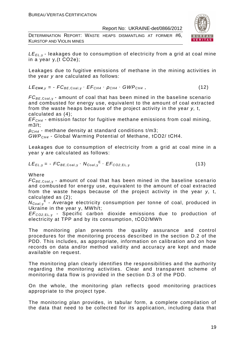DETERMINATION REPORT: WASTE HEAPS DISMANTLING AT FORMER #6, KURSTOP AND VIOLIN MINES



 $LE_{EL, y}$  - leakages due to consumption of electricity from a grid at coal mine in a year y,(t СО2е);

Leakages due to fugitive emissions of methane in the mining activities in the year y are calculated as follows:

 $LE_{CH4,y} = -FC_{BE,Coal,y} \cdot EF_{CH4} \cdot \rho_{CH4} \cdot GWP_{CH4}$ , (12)

 $FC_{BE, coal,v}$  - amount of coal that has been mined in the baseline scenario and combusted for energy use, equivalent to the amount of coal extracted from the waste heaps because of the project activity in the year y, t, calculated as (4);

 $EF<sub>CH4</sub>$  - emission factor for fugitive methane emissions from coal mining,  $m3/t$ :

 $ρ<sub>CH4</sub>$  - methane density at standard conditions t/m3;

GWPCH4 - Global Warming Potential of Methane, tСО2/ tСН4.

Leakages due to consumption of electricity from a grid at coal mine in a year y are calculated as follows:

$$
LE_{EL,y} = -FC_{BE,Coal,y} \cdot N_{Coal,y}^{E} \cdot EF_{CO2,EL,y}
$$
 (13)

Where

 $FC_{BE, coal,v}$  - amount of coal that has been mined in the baseline scenario and combusted for energy use, equivalent to the amount of coal extracted from the waste heaps because of the project activity in the year y, t, calculated as (2);

 $N_{Coal,y}$ <sup>E</sup> - Average electricity consumption per tonne of coal, produced in Ukraine in the year y, MWh/t;

EF<sup>C</sup>*О*2,EL, <sup>у</sup> - Specific carbon dioxide emissions due to production of electricity at TPP and by its consumption, tСО2/MWh

The monitoring plan presents the quality assurance and control procedures for the monitoring process described in the section D.2 of the PDD. This includes, as appropriate, information on calibration and on how records on data and/or method validity and accuracy are kept and made available on request.

The monitoring plan clearly identifies the responsibilities and the authority regarding the monitoring activities. Clear and transparent scheme of monitoring data flow is provided in the section D.3 of the PDD.

On the whole, the monitoring plan reflects good monitoring practices appropriate to the project type.

The monitoring plan provides, in tabular form, a complete compilation of the data that need to be collected for its application, including data that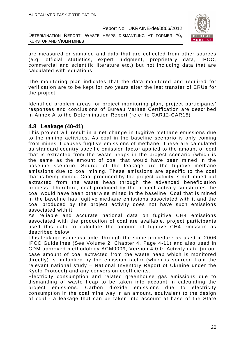DETERMINATION REPORT: WASTE HEAPS DISMANTLING AT FORMER #6, KURSTOP AND VIOLIN MINES



are measured or sampled and data that are collected from other sources (e.g. official statistics, expert judgment, proprietary data, IPCC, commercial and scientific literature etc.) but not including data that are calculated with equations.

The monitoring plan indicates that the data monitored and required for verification are to be kept for two years after the last transfer of ERUs for the project.

Identified problem areas for project monitoring plan, project participants' responses and conclusions of Bureau Veritas Certification are described in Annex A to the Determination Report (refer to CAR12-CAR15)

## **4.8 Leakage (40-41)**

This project will result in a net change in fugitive methane emissions due to the mining activities. As coal in the baseline scenario is only coming from mines it causes fugitive emissions of methane. These are calculated as standard country specific emission factor applied to the amount of coal that is extracted from the waste heaps in the project scenario (which is the same as the amount of coal that would have been mined in the baseline scenario. Source of the leakage are the fugitive methane emissions due to coal mining. These emissions are specific to the coal that is being mined. Coal produced by the project activity is not mined but extracted from the waste heap through the advanced beneficiation process. Therefore, coal produced by the project activity substitutes the coal would have been otherwise mined in the baseline. Coal that is mined in the baseline has fugitive methane emissions associated with it and the coal produced by the project activity does not have such emissions associated with it.

As reliable and accurate national data on fugitive CH4 emissions associated with the production of coal are available, project participants used this data to calculate the amount of fugitive CH4 emission as described below.

This leakage is measurable: through the same procedure as used in 2006 IPCC Guidelines (See Volume 2, Chapter 4, Page 4-11) and also used in CDM approved methodology ACM0009, Version 4.0.0. Activity data (in our case amount of coal extracted from the waste heap which is monitored directly) is multiplied by the emission factor (which is sourced from the relevant national study – National Inventory Report of Ukraine under the Kyoto Protocol) and any conversion coefficients.

Electricity consumption and related greenhouse gas emissions due to dismantling of waste heap to be taken into account in calculating the project emissions. Carbon dioxide emissions due to electricity consumption in the coal mine way in an amount, equivalent to the design of coal - a leakage that can be taken into account at base of the State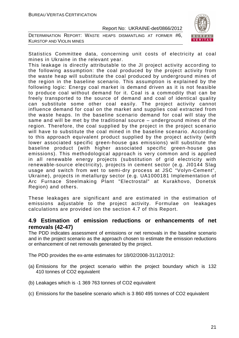DETERMINATION REPORT: WASTE HEAPS DISMANTLING AT FORMER #6, KURSTOP AND VIOLIN MINES



Statistics Committee data, concerning unit costs of electricity at coal mines in Ukraine in the relevant year.

This leakage is directly attributable to the JI project activity according to the following assumption: the coal produced by the project activity from the waste heap will substitute the coal produced by underground mines of the region in the baseline scenario. This assumption is explained by the following logic: Energy coal market is demand driven as it is not feasible to produce coal without demand for it. Coal is a commodity that can be freely transported to the source of demand and coal of identical quality can substitute some other coal easily. The project activity cannot influence demand for coal on the market and supplies coal extracted from the waste heaps. In the baseline scenario demand for coal will stay the same and will be met by the traditional source – underground mines of the region. Therefore, the coal supplied by the project in the project scenario will have to substitute the coal mined in the baseline scenario. According to this approach equivalent product supplied by the project activity (with lower associated specific green-house gas emissions) will substitute the baseline product (with higher associated specific green-house gas emissions). This methodological approach is very common and is applied in all renewable energy projects (substitution of grid electricity with renewable-source electricity), projects in cement sector (e.g. JI0144 Slag usage and switch from wet to semi-dry process at JSC "Volyn-Cement", Ukraine), projects in metallurgy sector (e.g. UA1000181 Implementation of Arc Furnace Steelmaking Plant "Electrostal" at Kurakhovo, Donetsk Region) and others.

These leakages are significant and are estimated in the estimation of emissions adjustable to the project activity. Formulae on leakages calculations are provided ion the section 4.7 of this Report.

### **4.9 Estimation of emission reductions or enhancements of net removals (42-47)**

The PDD indicates assessment of emissions or net removals in the baseline scenario and in the project scenario as the approach chosen to estimate the emission reductions or enhancement of net removals generated by the project.

The PDD provides the ex-ante estimates for 18/02/2008-31/12/2012:

- (a) Emissions for the project scenario within the project boundary which is 132 410 tonnes of CO2 equivalent
- (b) Leakages which is -1 369 763 tonnes of CO2 equivalent
- (c) Emissions for the baseline scenario which is 3 860 495 tonnes of CO2 equivalent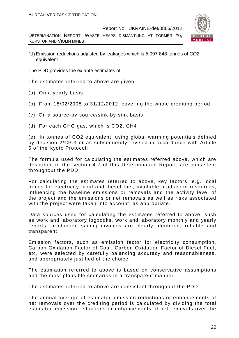DETERMINATION REPORT: WASTE HEAPS DISMANTLING AT FORMER #6, KURSTOP AND VIOLIN MINES



(d) Emission reductions adjusted by leakages which is 5 097 848 tonnes of CO2 equivalent

The PDD provides the ex ante estimates of:

The estimates referred to above are given:

- (a) On a yearly basis;
- (b) From 18/02/2008 to 31/12/2012, covering the whole crediting period;
- (c) On a source-by-source/sink-by-sink basis;
- (d) For each GHG gas, which is CO2, СН4

(e) In tonnes of CO2 equivalent, using global warming potentials defined by decision 2/CP.3 or as subsequently revised in accordance with Article 5 of the Kyoto Protocol;

The formula used for calculating the estimates referred above, which are described in the section 4.7 of this Determination Report, are consistent throughout the PDD.

For calculating the estimates referred to above, key factors, e.g. local prices for electricity, coal and diesel fuel, available production resources, influencing the baseline emissions or removals and the activity level of the project and the emissions or net removals as well as risks associated with the project were taken into account, as appropriate.

Data sources used for calculating the estimates referred to above, such as work and laboratory logbooks, work and laboratory monthly and yearly reports, production sailing invoices are clearly identified, reliable and transparent.

Emission factors, such as emission factor for electricity consumption, Carbon Oxidation Factor of Coal, Carbon Oxidation Factor of Diesel Fuel, etc, were selected by carefully balancing accuracy and reasonableness, and appropriately justified of the choice.

The estimation referred to above is based on conservative assumptions and the most plausible scenarios in a transparent manner.

The estimates referred to above are consistent throughout the PDD.

The annual average of estimated emission reductions or enhancements of net removals over the crediting period is calculated by dividing the total estimated emission reductions or enhancements of net removals over the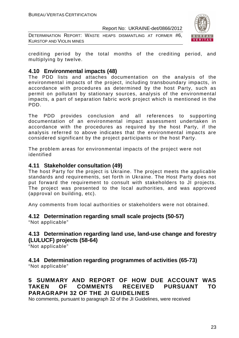DETERMINATION REPORT: WASTE HEAPS DISMANTLING AT FORMER #6, KURSTOP AND VIOLIN MINES



crediting period by the total months of the crediting period, and multiplying by twelve.

## **4.10 Environmental impacts (48)**

The PDD lists and attaches documentation on the analysis of the environmental impacts of the project, including transboundary impacts, in accordance with procedures as determined by the host Party, such as permit on pollutant by stationary sources, analysis of the environmental impacts, a part of separation fabric work project which is mentioned in the PDD.

The PDD provides conclusion and all references to supporting documentation of an environmental impact assessment undertaken in accordance with the procedures as required by the host Party, if the analysis referred to above indicates that the environmental impacts are considered significant by the project participants or the host Party.

The problem areas for environmental impacts of the project were not identified

## **4.11 Stakeholder consultation (49)**

The host Party for the project is Ukraine. The project meets the applicable standards and requirements, set forth in Ukraine. The Host Party does not put forward the requirement to consult with stakeholders to JI projects. The project was presented to the local authorities, and was approved (approval on building, etc).

Any comments from local authorities or stakeholders were not obtained.

## **4.12 Determination regarding small scale projects (50-57)**

"Not applicable"

## **4.13 Determination regarding land use, land-use change and forestry (LULUCF) projects (58-64)**

"Not applicable"

## **4.14 Determination regarding programmes of activities (65-73)**

"Not applicable"

## **5 SUMMARY AND REPORT OF HOW DUE ACCOUNT WAS TAKEN OF COMMENTS RECEIVED PURSUANT TO PARAGRAPH 32 OF THE JI GUIDELINES**

No comments, pursuant to paragraph 32 of the JI Guidelines, were received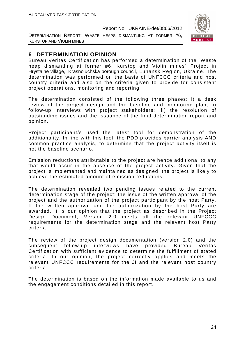DETERMINATION REPORT: WASTE HEAPS DISMANTLING AT FORMER #6, KURSTOP AND VIOLIN MINES



## **6 DETERMINATION OPINION**

Bureau Veritas Certification has performed a determination of the "Waste heap dismantling at former #6, Kurstop and Violin mines" Project in Hrystalne village, Krasnoluchska borough council, Luhansk Region, Ukraine. The determination was performed on the basis of UNFCCC criteria and host country criteria and also on the criteria given to provide for consistent project operations, monitoring and reporting.

The determination consisted of the following three phases: i) a desk review of the project design and the baseline and monitoring plan; ii) follow-up interviews with project stakeholders; iii) the resolution of outstanding issues and the issuance of the final determination report and opinion.

Project participant/s used the latest tool for demonstration of the additionality. In line with this tool, the PDD provides barrier analysis AND common practice analysis, to determine that the project activity itself is not the baseline scenario.

Emission reductions attributable to the project are hence additional to any that would occur in the absence of the project activity. Given that the project is implemented and maintained as designed, the project is likely to achieve the estimated amount of emission reductions.

The determination revealed two pending issues related to the current determination stage of the project: the issue of the written approval of the project and the authorization of the project participant by the host Party. If the written approval and the authorization by the host Party are awarded, it is our opinion that the project as described in the Project Design Document, Version 2.0 meets all the relevant UNFCCC requirements for the determination stage and the relevant host Party criteria.

The review of the project design documentation (version 2.0) and the subsequent follow-up interviews have provided Bureau Veritas Certification with sufficient evidence to determine the fulfillment of stated criteria. In our opinion, the project correctly applies and meets the relevant UNFCCC requirements for the JI and the relevant host country criteria.

The determination is based on the information made available to us and the engagement conditions detailed in this report.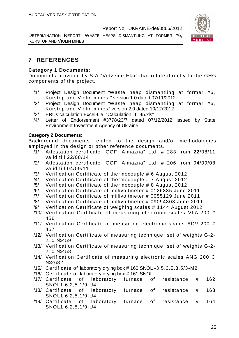DETERMINATION REPORT: WASTE HEAPS DISMANTLING AT FORMER #6, KURSTOP AND VIOLIN MINES



## **7 REFERENCES**

#### **Category 1 Documents:**

Documents provided by SIA "Vidzeme Eko" that relate directly to the GHG components of the project.

- /1/ Project Design Document "Waste heap dismantling at former #6, Kurstop and Violin mines " version 1.0 dated 07/11/2012
- /2/ Project Design Document "Waste heap dismantling at former #6, Kurstop and Violin mines" version 2.0 dated 10/12/2012
- /3/ ERUs calculation Excel-file "Calculation\_T\_45.xls"
- /4/ Letter of Endorsement #3778/23/7 dated 07/12/2012 issued by State Environment Investment Agency of Ukraine

#### **Category 2 Documents:**

Background documents related to the design and/or methodologies employed in the design or other reference documents.

- /1/ Attestation certificate "GOF 'Almazna" Ltd. # 283 from 22/08/11 valid till 22/08/14
- /2/ Attestation certificate "GOF 'Almazna" Ltd. # 206 from 04/09/08 valid till 04/09/11
- /3/ Verification Certificate of thermocouple # 6 August 2012
- /4/ Verification Certificate of thermocouple # 7 August 2012
- /5/ Verification Certificate of thermocouple # 8 August 2012
- /6/ Verification Certificate of millivoltmeter # 0126885 June 2011
- /7/ Verification Certificate of millivoltmeter # 0055129 June 2011
- /8/ Verification Certificate of millivoltmeter # 09094303 June 2011
- /9/ Verification Certificate of weighing scales # 1144 August 2012
- /10/ Verification Certificate of measuring electronic scales VLA-200 # 456
- /11/ Verification Certificate of measuring electronic scales ADV-200 # 457
- /12/ Verification Certificate of measuring technique, set of weights G-2- 210 №459
- /13/ Verification Certificate of measuring technique, set of weights G-2- 210 №458
- /14/ Verification Certificate of measuring electronic scales ANG 200 C №2682
- /15/ Certificate of laboratory drying box # 160 SNOL -3,5.3,5.3,5/3-M2
- /16/ Certificate of laboratory drying box # 161 SNOL
- /17/ Certificate of laboratory furnace of resistance # 162 SNOL1,6.2,5.1/9-U4
- /18/ Certificate of laboratory furnace of resistance # 163 SNOL1,6.2,5.1/9-U4
- /19/ Certificate of laboratory furnace of resistance # 164 SNOL1,6.2,5.1/9-U4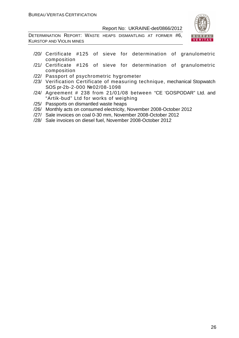DETERMINATION REPORT: WASTE HEAPS DISMANTLING AT FORMER #6, KURSTOP AND VIOLIN MINES



- /20/ Certificate #125 of sieve for determination of granulometric composition
- /21/ Certificate #126 of sieve for determination of granulometric composition
- /22/ Passport of psychrometric hygrometer
- /23/ Verification Certificate of measuring technique, mechanical Stopwatch SOS pr-2b-2-000 №02/08-1098
- /24/ Agreement # 238 from 21/01/08 between "CE 'GOSPODAR" Ltd. and "Artik-bud" Ltd for works of weighing
- /25/ Passports on dismantled waste heaps
- /26/ Monthly acts on consumed electricity, November 2008-October 2012
- /27/ Sale invoices on coal 0-30 mm, November 2008-October 2012
- /28/ Sale invoices on diesel fuel, November 2008-October 2012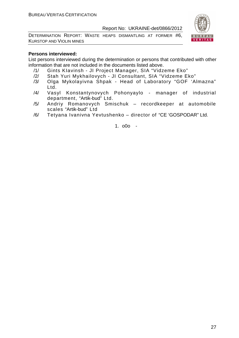DETERMINATION REPORT: WASTE HEAPS DISMANTLING AT FORMER #6, KURSTOP AND VIOLIN MINES



#### **Persons interviewed:**

List persons interviewed during the determination or persons that contributed with other information that are not included in the documents listed above.

- /1/ Gints KIavinsh JI Project Manager, SIA "Vidzeme Eko"
- /2/ Stah Yuri Mykhailovych JI Consultant, SIA "Vidzeme Eko"
- /3/ Olga Mykolayivna Shpak Head of Laboratory "GOF 'Almazna" Ltd.
- /4/ Vasyl Konstantynovych Pohonyaylo manager of industrial department, "Artik-bud" Ltd.
- /5/ Andriy Romanovych Smischuk recordkeeper at automobile scales "Artik-bud" Ltd
- /6/ Tetyana Ivanivna Yevtushenko director of "CE 'GOSPODAR" Ltd.

1. o0o -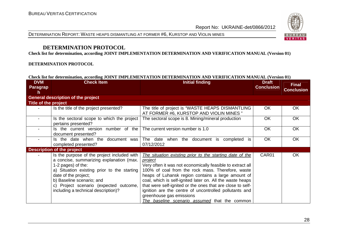



## **DETERMINATION PROTOCOL**

**Check list for determination, according JOINT IMPLEMENTATION DETERMINATION AND VERIFICATION MANUAL (Version 01)** 

#### **DETERMINATION PROTOCOL**

#### **Check list for determination, according JOINT IMPLEMENTATION DETERMINATION AND VERIFICATION MANUAL (Version 01)**

| <b>DVM</b><br>Paragrap<br>h | <b>Check Item</b>                                                                                                                                                                                                                                                                                  | <b>Initial finding</b>                                                                                                                                                                                                                                                                                                                                                                                                                                                                                         | <b>Draft</b><br><b>Conclusion</b> | <b>Final</b><br><b>Conclusion</b> |
|-----------------------------|----------------------------------------------------------------------------------------------------------------------------------------------------------------------------------------------------------------------------------------------------------------------------------------------------|----------------------------------------------------------------------------------------------------------------------------------------------------------------------------------------------------------------------------------------------------------------------------------------------------------------------------------------------------------------------------------------------------------------------------------------------------------------------------------------------------------------|-----------------------------------|-----------------------------------|
|                             | <b>General description of the project</b>                                                                                                                                                                                                                                                          |                                                                                                                                                                                                                                                                                                                                                                                                                                                                                                                |                                   |                                   |
| Title of the project        |                                                                                                                                                                                                                                                                                                    |                                                                                                                                                                                                                                                                                                                                                                                                                                                                                                                |                                   |                                   |
|                             | Is the title of the project presented?                                                                                                                                                                                                                                                             | The title of project is "WASTE HEAPS DISMANTLING<br>AT FORMER #6, KURSTOP AND VIOLIN MINES "                                                                                                                                                                                                                                                                                                                                                                                                                   | <b>OK</b>                         | OK                                |
|                             | Is the sectoral scope to which the project<br>pertains presented?                                                                                                                                                                                                                                  | The sectoral scope is 8. Mining/mineral production                                                                                                                                                                                                                                                                                                                                                                                                                                                             | <b>OK</b>                         | <b>OK</b>                         |
|                             | Is the current version number of the<br>document presented?                                                                                                                                                                                                                                        | The current version number is 1.0                                                                                                                                                                                                                                                                                                                                                                                                                                                                              | <b>OK</b>                         | OK                                |
|                             | Is the date when the document was<br>completed presented?                                                                                                                                                                                                                                          | The date when the document is<br>completed<br>07/12/2012                                                                                                                                                                                                                                                                                                                                                                                                                                                       | OK                                | OK                                |
|                             | <b>Description of the project</b>                                                                                                                                                                                                                                                                  |                                                                                                                                                                                                                                                                                                                                                                                                                                                                                                                |                                   |                                   |
|                             | Is the purpose of the project included with<br>a concise, summarizing explanation (max.<br>1-2 pages) of the:<br>a) Situation existing prior to the starting<br>date of the project;<br>b) Baseline scenario; and<br>c) Project scenario (expected outcome,<br>including a technical description)? | The situation existing prior to the starting date of the<br>project<br>Very often it was not economically feasible to extract all<br>100% of coal from the rock mass. Therefore, waste<br>heaps of Luhansk region contains a large amount of<br>coal, which is self-ignited later on. All the waste heaps<br>that were self-ignited or the ones that are close to self-<br>ignition are the centre of uncontrolled pollutants and<br>greenhouse gas emissions<br>The baseline scenario assumed that the common | CAR01                             | <b>OK</b>                         |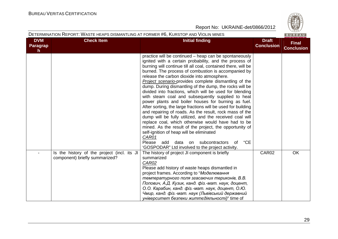**Contract Contract Contract** 

|                              | DETERMINATION REPORT: WASTE HEAPS DISMANTLING AT FORMER #6, KURSTOP AND VIOLIN MINES |                                                                                                                                                                                                                                                                                                                                                                                                                                                                                                                                                                                                                                                                                                                                                                                                                                                                                                                                                                                                                                                               |                                   | BUREAU                            |
|------------------------------|--------------------------------------------------------------------------------------|---------------------------------------------------------------------------------------------------------------------------------------------------------------------------------------------------------------------------------------------------------------------------------------------------------------------------------------------------------------------------------------------------------------------------------------------------------------------------------------------------------------------------------------------------------------------------------------------------------------------------------------------------------------------------------------------------------------------------------------------------------------------------------------------------------------------------------------------------------------------------------------------------------------------------------------------------------------------------------------------------------------------------------------------------------------|-----------------------------------|-----------------------------------|
| <b>DVM</b><br>Paragrap<br>h. | <b>Check Item</b>                                                                    | <b>Initial finding</b>                                                                                                                                                                                                                                                                                                                                                                                                                                                                                                                                                                                                                                                                                                                                                                                                                                                                                                                                                                                                                                        | <b>Draft</b><br><b>Conclusion</b> | <b>Final</b><br><b>Conclusion</b> |
|                              |                                                                                      | practice will be continued – heap can be spontaneously<br>ignited with a certain probability, and the process of<br>burning will continue till all coal, contained there, will be<br>burned. The process of combustion is accompanied by<br>release the carbon dioxide into atmosphere.<br>Project scenario-provides complete dismantling of the<br>dump. During dismantling of the dump, the rocks will be<br>divided into fractions, which will be used for blending<br>with steam coal and subsequently supplied to heat<br>power plants and boiler houses for burning as fuel.<br>After sorting, the large fractions will be used for building<br>and repairing of roads. As the result, rock mass of the<br>dump will be fully utilized, and the received coal will<br>replace coal, which otherwise would have had to be<br>mined. As the result of the project, the opportunity of<br>self-ignition of heap will be eliminated<br>CAR01<br>"CE<br>Please add<br>data<br>subcontractors<br>on<br>0f<br>'GOSPODAR" Ltd involved to the project activity. |                                   |                                   |
|                              | Is the history of the project (incl. its JI<br>component) briefly summarized?        | The history of project JI component is briefly<br>summarized<br>CAR02<br>Please add history of waste heaps dismantled in<br>project frames. According to "Моделювання<br>температурного поля згасаючих териконів, В.В.<br>Попович, А.Д. Кузик, канд. фіз.-мат. наук, доцент,<br>О.О. Карабин, канд. фіз.-мат. наук, доцент, О.Ю.<br>Чмир, канд. фіз.-мат. наук (Львівський державний<br>університет безпеки життєдіяльності)" time of                                                                                                                                                                                                                                                                                                                                                                                                                                                                                                                                                                                                                         | CAR02                             | <b>OK</b>                         |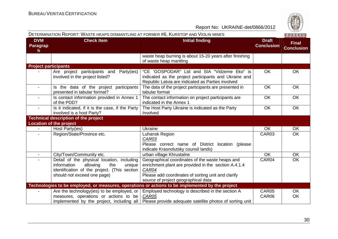|                             | DETERMINATION REPORT: WASTE HEAPS DISMANTLING AT FORMER #6, KURSTOP AND VIOLIN MINES                                                                                  |                                                                                                                                                                                                               |                                   | BUREAU                            |
|-----------------------------|-----------------------------------------------------------------------------------------------------------------------------------------------------------------------|---------------------------------------------------------------------------------------------------------------------------------------------------------------------------------------------------------------|-----------------------------------|-----------------------------------|
| <b>DVM</b><br>Paragrap<br>h | <b>Check Item</b>                                                                                                                                                     | <b>Initial finding</b>                                                                                                                                                                                        | <b>Draft</b><br><b>Conclusion</b> | <b>Final</b><br><b>Conclusion</b> |
|                             |                                                                                                                                                                       | waste heap burning is about 15-20 years after finishing<br>of waste heap mantling                                                                                                                             |                                   |                                   |
| <b>Project participants</b> |                                                                                                                                                                       |                                                                                                                                                                                                               |                                   |                                   |
|                             | Are project participants and Party(ies)<br>involved in the project listed?                                                                                            | "CE 'GOSPODAR" Ltd and SIA "Vidzeme Eko" is<br>indicated as the project participants and Ukraine and<br>Republic Latvia are indicated as Parties involved                                                     | <b>OK</b>                         | <b>OK</b>                         |
| $\blacksquare$              | Is the data of the project participants<br>presented in tabular format?                                                                                               | The data of the project participants are presented in<br>tabular format                                                                                                                                       | <b>OK</b>                         | <b>OK</b>                         |
| $\blacksquare$              | Is contact information provided in Annex 1<br>of the PDD?                                                                                                             | The contact information on project participants are<br>indicated in the Annex 1                                                                                                                               | <b>OK</b>                         | <b>OK</b>                         |
|                             | Is it indicated, if it is the case, if the Party<br>involved is a host Party?                                                                                         | The Host Party Ukraine is indicated as the Party<br>Involved                                                                                                                                                  | <b>OK</b>                         | <b>OK</b>                         |
|                             | <b>Technical description of the project</b>                                                                                                                           |                                                                                                                                                                                                               |                                   |                                   |
|                             | <b>Location of the project</b>                                                                                                                                        |                                                                                                                                                                                                               |                                   |                                   |
| $\sim$                      | Host Party(ies)                                                                                                                                                       | Ukraine                                                                                                                                                                                                       | <b>OK</b>                         | OK                                |
|                             | Region/State/Province etc.                                                                                                                                            | Luhansk Region<br>CAR03<br>Please correct name of District location (please<br>indicate Krasnolutsky counsil lands)                                                                                           | CAR03                             | <b>OK</b>                         |
| $\blacksquare$              | City/Town/Community etc.                                                                                                                                              | urban village Khrustalne                                                                                                                                                                                      | <b>OK</b>                         | OK                                |
| $\overline{\phantom{a}}$    | Detail of the physical location, including<br>information<br>the<br>allowing<br>unique<br>identification of the project. (This section<br>should not exceed one page) | Geographical coordinates of the waste heaps and<br>enrichment plant are provided in the section A.4.1.4<br>CAR04<br>Please add coordinates of sorting unit and clarify<br>source of project geographical data | CAR04                             | <b>OK</b>                         |
|                             |                                                                                                                                                                       | Technologies to be employed, or measures, operations or actions to be implemented by the project                                                                                                              |                                   |                                   |
|                             | Are the technology(ies) to be employed, or<br>measures, operations or actions to be<br>implemented by the project, including all                                      | Employed technology is described in the section A<br>CAR05<br>Please provide adequate satellite photos of sorting unit                                                                                        | CAR05<br>CAR06                    | OK.<br><b>OK</b>                  |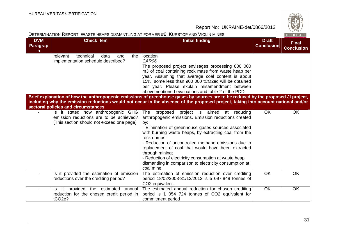|                             | DETERMINATION REPORT: WASTE HEAPS DISMANTLING AT FORMER #6, KURSTOP AND VIOLIN MINES                                       |                                                                                                                                                                                                                                                                                                                                                                                                                                                                                                                     |                                   | BUREAU                            |
|-----------------------------|----------------------------------------------------------------------------------------------------------------------------|---------------------------------------------------------------------------------------------------------------------------------------------------------------------------------------------------------------------------------------------------------------------------------------------------------------------------------------------------------------------------------------------------------------------------------------------------------------------------------------------------------------------|-----------------------------------|-----------------------------------|
| <b>DVM</b><br>Paragrap<br>h | <b>Check Item</b>                                                                                                          | <b>Initial finding</b>                                                                                                                                                                                                                                                                                                                                                                                                                                                                                              | <b>Draft</b><br><b>Conclusion</b> | <b>Final</b><br><b>Conclusion</b> |
|                             | technical<br>relevant<br>data<br>the<br>and<br>implementation schedule described?                                          | location<br>CAR06<br>The proposed project envisages processing 800 000<br>m3 of coal containing rock mass from waste heap per<br>year. Assuming that average coal content is about<br>15%, some less than 900 000 tCO2eq will be obtained<br>per year. Please explain misamendment between<br>abovementioned evaluations and table 2 of the PDD                                                                                                                                                                     |                                   |                                   |
|                             | sectoral policies and circumstances                                                                                        | Brief explanation of how the anthropogenic emissions of greenhouse gases by sources are to be reduced by the proposed JI project,<br>including why the emission reductions would not occur in the absence of the proposed project, taking into account national and/or                                                                                                                                                                                                                                              |                                   |                                   |
|                             | Is it stated how anthropogenic GHG<br>emission reductions are to be achieved?<br>(This section should not exceed one page) | The<br>proposed<br>project is aimed<br>at reducing<br>anthropogenic emissions. Emission reductions created<br>by:<br>- Elimination of greenhouse gases sources associated<br>with burning waste heaps, by extracting coal from the<br>rock dumps;<br>- Reduction of uncontrolled methane emissions due to<br>replacement of coal that would have been extracted<br>through mining;<br>- Reduction of electricity consumption at waste heap<br>dismantling in comparison to electricity consumption at<br>coal mine. | <b>OK</b>                         | <b>OK</b>                         |
|                             | Is it provided the estimation of emission<br>reductions over the crediting period?                                         | The estimation of emission reduction over crediting<br>period 18/02/2008-31/12/2012 is 5 097 848 tonnes of<br>CO2 equivalent.                                                                                                                                                                                                                                                                                                                                                                                       | <b>OK</b>                         | <b>OK</b>                         |
|                             | it provided the estimated annual<br>Is.<br>reduction for the chosen credit period in<br>tCO <sub>2</sub> e?                | The estimated annual reduction for chosen crediting<br>period is 1 054 724 tonnes of CO2 equivalent for<br>commitment period                                                                                                                                                                                                                                                                                                                                                                                        | <b>OK</b>                         | OK                                |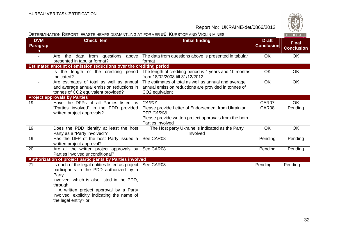|                              | DETERMINATION REPORT: WASTE HEAPS DISMANTLING AT FORMER #6, KURSTOP AND VIOLIN MINES                                                                                                                                                                                                        |                                                                                                                                                         |                                   | BUREAU                            |
|------------------------------|---------------------------------------------------------------------------------------------------------------------------------------------------------------------------------------------------------------------------------------------------------------------------------------------|---------------------------------------------------------------------------------------------------------------------------------------------------------|-----------------------------------|-----------------------------------|
| <b>DVM</b><br>Paragrap<br>h. | <b>Check Item</b>                                                                                                                                                                                                                                                                           | <b>Initial finding</b>                                                                                                                                  | <b>Draft</b><br><b>Conclusion</b> | <b>Final</b><br><b>Conclusion</b> |
| $\overline{\phantom{a}}$     | Are the<br>data from questions above<br>presented in tabular format?                                                                                                                                                                                                                        | The data from questions above is presented in tabular<br>format                                                                                         | <b>OK</b>                         | <b>OK</b>                         |
|                              | Estimated amount of emission reductions over the crediting period                                                                                                                                                                                                                           |                                                                                                                                                         |                                   |                                   |
|                              | Indicated?                                                                                                                                                                                                                                                                                  | Is the length of the crediting period The length of crediting period is 4 years and 10 months<br>from 18/02/2008 till 31/12/2012                        | <b>OK</b>                         | OK                                |
| $\blacksquare$               | Are estimates of total as well as annual<br>and average annual emission reductions in<br>tonnes of CO2 equivalent provided?                                                                                                                                                                 | The estimates of total as well as annual and average<br>annual emission reductions are provided in tonnes of<br>CO2 equivalent                          | <b>OK</b>                         | OK                                |
|                              | <b>Project approvals by Parties</b>                                                                                                                                                                                                                                                         |                                                                                                                                                         |                                   |                                   |
| 19                           | Have the DFPs of all Parties listed as<br>"Parties involved" in the PDD provided<br>written project approvals?                                                                                                                                                                              | CAR07<br>Please provide Letter of Endorsement from Ukrainian<br>DFP CAR08<br>Please provide written project approvals from the both<br>Parties Involved | CAR07<br>CAR08                    | <b>OK</b><br>Pending              |
| 19                           | Does the PDD identify at least the host<br>Party as a "Party involved"?                                                                                                                                                                                                                     | The Host party Ukraine is indicated as the Party<br>Involved                                                                                            | <b>OK</b>                         | OK                                |
| 19                           | Has the DFP of the host Party issued a<br>written project approval?                                                                                                                                                                                                                         | See CAR08                                                                                                                                               | Pending                           | Pending                           |
| 20                           | Are all the written project approvals by<br>Parties involved unconditional?                                                                                                                                                                                                                 | See CAR08                                                                                                                                               | Pending                           | Pending                           |
|                              | Authorization of project participants by Parties involved                                                                                                                                                                                                                                   |                                                                                                                                                         |                                   |                                   |
| 21                           | Is each of the legal entities listed as project   See CAR08<br>participants in the PDD authorized by a<br>Party<br>involved, which is also listed in the PDD,<br>through:<br>- A written project approval by a Party<br>involved, explicitly indicating the name of<br>the legal entity? or |                                                                                                                                                         | Pending                           | Pending                           |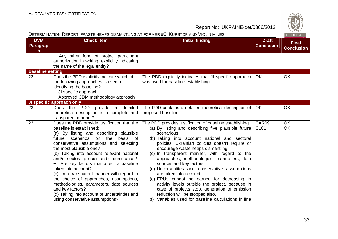|                              | DETERMINATION REPORT: WASTE HEAPS DISMANTLING AT FORMER #6, KURSTOP AND VIOLIN MINES                                                                                                                                                                                                                                                                                                                                                                                                                                                                                                                                                    |                                                                                                                                                                                                                                                                                                                                                                                                                                                                                                                                                                                                                                                                                                                             |                                   | BUREAU                            |
|------------------------------|-----------------------------------------------------------------------------------------------------------------------------------------------------------------------------------------------------------------------------------------------------------------------------------------------------------------------------------------------------------------------------------------------------------------------------------------------------------------------------------------------------------------------------------------------------------------------------------------------------------------------------------------|-----------------------------------------------------------------------------------------------------------------------------------------------------------------------------------------------------------------------------------------------------------------------------------------------------------------------------------------------------------------------------------------------------------------------------------------------------------------------------------------------------------------------------------------------------------------------------------------------------------------------------------------------------------------------------------------------------------------------------|-----------------------------------|-----------------------------------|
| <b>DVM</b><br>Paragrap<br>h. | <b>Check Item</b>                                                                                                                                                                                                                                                                                                                                                                                                                                                                                                                                                                                                                       | <b>Initial finding</b>                                                                                                                                                                                                                                                                                                                                                                                                                                                                                                                                                                                                                                                                                                      | <b>Draft</b><br><b>Conclusion</b> | <b>Final</b><br><b>Conclusion</b> |
|                              | - Any other form of project participant<br>authorization in writing, explicitly indicating<br>the name of the legal entity?                                                                                                                                                                                                                                                                                                                                                                                                                                                                                                             |                                                                                                                                                                                                                                                                                                                                                                                                                                                                                                                                                                                                                                                                                                                             |                                   |                                   |
| <b>Baseline setting</b>      |                                                                                                                                                                                                                                                                                                                                                                                                                                                                                                                                                                                                                                         |                                                                                                                                                                                                                                                                                                                                                                                                                                                                                                                                                                                                                                                                                                                             |                                   |                                   |
| 22                           | Does the PDD explicitly indicate which of<br>the following approaches is used for<br>identifying the baseline?<br>- JI specific approach<br>- Approved CDM methodology approach                                                                                                                                                                                                                                                                                                                                                                                                                                                         | The PDD explicitly indicates that JI specific approach<br>was used for baseline establishing                                                                                                                                                                                                                                                                                                                                                                                                                                                                                                                                                                                                                                | OK.                               | <b>OK</b>                         |
|                              | JI specific approach only                                                                                                                                                                                                                                                                                                                                                                                                                                                                                                                                                                                                               |                                                                                                                                                                                                                                                                                                                                                                                                                                                                                                                                                                                                                                                                                                                             |                                   |                                   |
| 23                           | Does the PDD provide a detailed<br>theoretical description in a complete and<br>transparent manner?                                                                                                                                                                                                                                                                                                                                                                                                                                                                                                                                     | The PDD contains a detailed theoretical description of<br>proposed baseline                                                                                                                                                                                                                                                                                                                                                                                                                                                                                                                                                                                                                                                 | <b>OK</b>                         | <b>OK</b>                         |
| 23                           | Does the PDD provide justification that the<br>baseline is established:<br>(a) By listing and describing plausible<br>future scenarios on the<br>basis<br>of<br>conservative assumptions and selecting<br>the most plausible one?<br>(b) Taking into account relevant national<br>and/or sectoral policies and circumstance?<br>Are key factors that affect a baseline<br>taken into account?<br>(c) In a transparent manner with regard to<br>the choice of approaches, assumptions,<br>methodologies, parameters, date sources<br>and key factors?<br>(d) Taking into account of uncertainties and<br>using conservative assumptions? | The PDD provides justification of baseline establishing<br>(a) By listing and describing five plausible future<br>scenarious<br>(b) Taking into account national and sectoral<br>policies. Ukrainian policies doesn't require or<br>encourage waste heaps dismantling<br>(c) In transparent manner, with regard to the<br>approaches, methodologies, parameters, data<br>sources and key factors<br>(d) Uncertaintites and conservative assumptions<br>are taken into account<br>(e) ERUs cannot be earned for decreasing in<br>activity levels outside the project, because in<br>case of projects stop, generation of emission<br>reduction will be stopped also.<br>(f) Variables used for baseline calculations in line | CAR09<br>CL <sub>01</sub>         | OK<br>OK                          |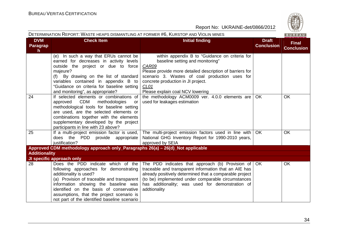

|                                        | DETERMINATION REPORT: WASTE HEAPS DISMANTLING AT FORMER #6, KURSTOP AND VIOLIN MINES                                                                                                                                                                                                                                                 |                                                                                                                                                                                                                                                                                                            |                                   | BUREAU                            |
|----------------------------------------|--------------------------------------------------------------------------------------------------------------------------------------------------------------------------------------------------------------------------------------------------------------------------------------------------------------------------------------|------------------------------------------------------------------------------------------------------------------------------------------------------------------------------------------------------------------------------------------------------------------------------------------------------------|-----------------------------------|-----------------------------------|
| <b>DVM</b><br>Paragrap<br>$\mathsf{h}$ | <b>Check Item</b>                                                                                                                                                                                                                                                                                                                    | <b>Initial finding</b>                                                                                                                                                                                                                                                                                     | <b>Draft</b><br><b>Conclusion</b> | <b>Final</b><br><b>Conclusion</b> |
|                                        | (e) In such a way that ERUs cannot be<br>earned for decreases in activity levels<br>outside the project or due to force<br>majeure?<br>(f) By drawing on the list of standard<br>variables contained in appendix B to<br>"Guidance on criteria for baseline setting<br>and monitoring", as appropriate?                              | within appendix B to "Guidance on criteria for<br>baseline setting and monitoring"<br>CAR09<br>Please provide more detailed description of barriers for<br>scenario 3. Wastes of coal production uses for<br>concrete production in JI project.<br>CL <sub>01</sub><br>Please explain coal NCV lowering    |                                   |                                   |
| 24                                     | If selected elements or combinations of<br>approved CDM<br>methodologies<br>or<br>methodological tools for baseline setting<br>are used, are the selected elements or<br>combinations together with the elements<br>supplementary developed by the project<br>participants in line with 23 above?                                    | the methodology ACM0009 ver. 4.0.0 elements are<br>used for leakages estimation                                                                                                                                                                                                                            | <b>OK</b>                         | OK                                |
| 25                                     | does the PDD provide appropriate<br>justification?                                                                                                                                                                                                                                                                                   | If a multi-project emission factor is used, The multi-project emission factors used in line with $\overline{OK}$<br>National GHG Inventory Report for 1990-2010 years,<br>approved by SEIA                                                                                                                 |                                   | <b>OK</b>                         |
|                                        | Approved CDM methodology approach only_Paragraphs 26(a) - 26(d)_Not applicable                                                                                                                                                                                                                                                       |                                                                                                                                                                                                                                                                                                            |                                   |                                   |
| <b>Additionality</b>                   | <b>JI specific approach only</b>                                                                                                                                                                                                                                                                                                     |                                                                                                                                                                                                                                                                                                            |                                   |                                   |
| 28                                     | Does the PDD indicate which of the<br>following approaches for demonstrating<br>additionality is used?<br>(a) Provision of traceable and transparent<br>information showing the baseline was<br>identified on the basis of conservative<br>assumptions, that the project scenario is<br>not part of the identified baseline scenario | The PDD indicates that approach (b) Provision of $\sqrt{OK}$<br>traceable and transparent information that an AIE has<br>already positively determined that a comparable project<br>(to be) implemented under comparable circumstances<br>has additionality; was used for demonstration of<br>addtionality |                                   | <b>OK</b>                         |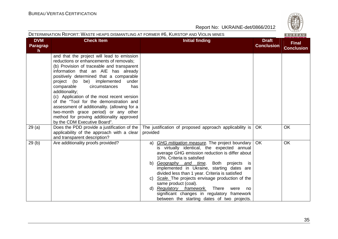| $\omega$     |
|--------------|
|              |
| W<br>וכ<br>- |
| 828          |

|                              | DETERMINATION REPORT: WASTE HEAPS DISMANTLING AT FORMER #6, KURSTOP AND VIOLIN MINES                                                                                                                                                                                                                                                                                                                                                                                                                                                                                               |                                                                                                                                                                                                                                                                                                                                                                                                                                                                                                                                                                              |                                   | BUREAU                            |
|------------------------------|------------------------------------------------------------------------------------------------------------------------------------------------------------------------------------------------------------------------------------------------------------------------------------------------------------------------------------------------------------------------------------------------------------------------------------------------------------------------------------------------------------------------------------------------------------------------------------|------------------------------------------------------------------------------------------------------------------------------------------------------------------------------------------------------------------------------------------------------------------------------------------------------------------------------------------------------------------------------------------------------------------------------------------------------------------------------------------------------------------------------------------------------------------------------|-----------------------------------|-----------------------------------|
| <b>DVM</b><br>Paragrap<br>h. | <b>Check Item</b>                                                                                                                                                                                                                                                                                                                                                                                                                                                                                                                                                                  | <b>Initial finding</b>                                                                                                                                                                                                                                                                                                                                                                                                                                                                                                                                                       | <b>Draft</b><br><b>Conclusion</b> | <b>Final</b><br><b>Conclusion</b> |
|                              | and that the project will lead to emission<br>reductions or enhancements of removals;<br>(b) Provision of traceable and transparent<br>information that an AIE has already<br>positively determined that a comparable<br>project (to be) implemented<br>under<br>comparable<br>circumstances<br>has<br>additionality;<br>(c) Application of the most recent version<br>of the "Tool for the demonstration and<br>assessment of additionality. (allowing for a<br>two-month grace period) or any other<br>method for proving additionality approved<br>by the CDM Executive Board". |                                                                                                                                                                                                                                                                                                                                                                                                                                                                                                                                                                              |                                   |                                   |
| 29(a)                        | Does the PDD provide a justification of the<br>applicability of the approach with a clear<br>and transparent description?                                                                                                                                                                                                                                                                                                                                                                                                                                                          | The justification of proposed approach applicability is<br>provided                                                                                                                                                                                                                                                                                                                                                                                                                                                                                                          | <b>OK</b>                         | <b>OK</b>                         |
| 29(b)                        | Are additionality proofs provided?                                                                                                                                                                                                                                                                                                                                                                                                                                                                                                                                                 | <b>GHG mitigation measure.</b> The project boundary<br>a)<br>is virtually identical, the expected annual<br>average GHG emission reduction is differ about<br>10%. Criteria is satisfied<br>b) Geography and time. Both projects is<br>implemented in Ukraine, starting dates are<br>divided less than 1 year. Criteria is satisfied<br>c) Scale. The projects envisage production of the<br>same product (coal).<br><b>Regulatory framework.</b><br>There<br>d)<br>were<br>no<br>significant changes in regulatory framework<br>between the starting dates of two projects. | OK                                | <b>OK</b>                         |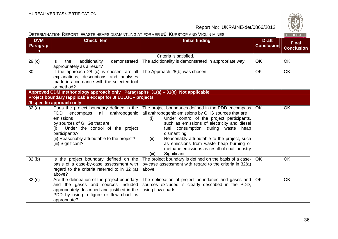

|                              |                                                                                                                                                                                                                                                                     | DETERMINATION REPORT: WASTE HEAPS DISMANTLING AT FORMER #6, KURSTOP AND VIOLIN MINES                                                                                                                                                                                                                                                                                                                                                              |                                   |                                   |
|------------------------------|---------------------------------------------------------------------------------------------------------------------------------------------------------------------------------------------------------------------------------------------------------------------|---------------------------------------------------------------------------------------------------------------------------------------------------------------------------------------------------------------------------------------------------------------------------------------------------------------------------------------------------------------------------------------------------------------------------------------------------|-----------------------------------|-----------------------------------|
| <b>DVM</b><br>Paragrap<br>h. | <b>Check Item</b>                                                                                                                                                                                                                                                   | <b>Initial finding</b>                                                                                                                                                                                                                                                                                                                                                                                                                            | <b>Draft</b><br><b>Conclusion</b> | <b>Final</b><br><b>Conclusion</b> |
|                              |                                                                                                                                                                                                                                                                     | Criteria is satisfied.                                                                                                                                                                                                                                                                                                                                                                                                                            |                                   |                                   |
| 29 <sub>(c)</sub>            | additionality<br>demonstrated<br>Is.<br>the<br>appropriately as a result?                                                                                                                                                                                           | The additionality is demonstrated in appropriate way                                                                                                                                                                                                                                                                                                                                                                                              | <b>OK</b>                         | <b>OK</b>                         |
| 30                           | If the approach 28 (c) is chosen, are all<br>explanations, descriptions and analyses<br>made in accordance with the selected tool<br>or method?                                                                                                                     | The Approach 28(b) was chosen                                                                                                                                                                                                                                                                                                                                                                                                                     | <b>OK</b>                         | <b>OK</b>                         |
|                              | Approved CDM methodology approach only_ Paragraphs 31(a) - 31(e)_Not applicable                                                                                                                                                                                     |                                                                                                                                                                                                                                                                                                                                                                                                                                                   |                                   |                                   |
|                              | Project boundary (applicable except for JI LULUCF projects                                                                                                                                                                                                          |                                                                                                                                                                                                                                                                                                                                                                                                                                                   |                                   |                                   |
|                              | JI specific approach only                                                                                                                                                                                                                                           |                                                                                                                                                                                                                                                                                                                                                                                                                                                   |                                   |                                   |
| 32(a)                        | Does the project boundary defined in the<br>anthropogenic<br>PDD<br>encompass<br>all<br>emissions<br>by sources of GHGs that are:<br>Under the control of the project<br>(i)<br>participants?<br>(ii) Reasonably attributable to the project?<br>(iii) Significant? | The project boundaries defined in the PDD encompass<br>all anthropogenic emissions by GHG sources that are<br>Under control of the project participants,<br>(i)<br>such as emissions of electricity and diesel<br>fuel consumption during waste<br>heap<br>dismantling<br>Reasonably attributable to the project, such<br>(ii)<br>as emissions from waste heap burning or<br>methane emissions as result of coal industry<br>Significant<br>(iii) | <b>OK</b>                         | <b>OK</b>                         |
| 32(b)                        | Is the project boundary defined on the<br>basis of a case-by-case assessment with<br>regard to the criteria referred to in 32 (a)<br>above?                                                                                                                         | The project boundary is defined on the basis of a case-<br>by-case assessment with regard to the criteria in 32(a)<br>above.                                                                                                                                                                                                                                                                                                                      | OK.                               | OK.                               |
| 32(c)                        | Are the delineation of the project boundary<br>and the gases and sources included<br>appropriately described and justified in the<br>PDD by using a figure or flow chart as<br>appropriate?                                                                         | The delineation of project boundaries and gases and<br>sources excluded is clearly described in the PDD,<br>using flow charts.                                                                                                                                                                                                                                                                                                                    | OK.                               | <b>OK</b>                         |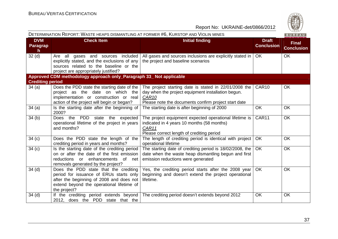|                              | DETERMINATION REPORT: WASTE HEAPS DISMANTLING AT FORMER #6, KURSTOP AND VIOLIN MINES                                                                                                      |                                                                                                                                                                                          |                                   | BUREAU                            |
|------------------------------|-------------------------------------------------------------------------------------------------------------------------------------------------------------------------------------------|------------------------------------------------------------------------------------------------------------------------------------------------------------------------------------------|-----------------------------------|-----------------------------------|
| <b>DVM</b><br>Paragrap<br>h. | <b>Check Item</b>                                                                                                                                                                         | <b>Initial finding</b>                                                                                                                                                                   | <b>Draft</b><br><b>Conclusion</b> | <b>Final</b><br><b>Conclusion</b> |
| 32 <sub>(d)</sub>            | Are all gases and sources included<br>explicitly stated, and the exclusions of any<br>sources related to the baseline or the<br>project are appropriately justified?                      | All gases and sources inclusions are explicitly stated in<br>the project and baseline scenarios                                                                                          | OK.                               | <b>OK</b>                         |
|                              | Approved CDM methodology approach only_Paragraph 33_ Not applicable                                                                                                                       |                                                                                                                                                                                          |                                   |                                   |
| <b>Crediting period</b>      |                                                                                                                                                                                           |                                                                                                                                                                                          |                                   |                                   |
| 34(a)                        | Does the PDD state the starting date of the<br>project as the date on which the<br>implementation or construction or real<br>action of the project will begin or began?                   | The project starting date is stated in 22/01/2008 the<br>day when the project equipment installation begun.<br>CAR <sub>10</sub><br>Please note the documents confirm project start date | CAR <sub>10</sub>                 | <b>OK</b>                         |
| 34(a)                        | Is the starting date after the beginning of<br>2000?                                                                                                                                      | The starting date is after beginning of 2000                                                                                                                                             | <b>OK</b>                         | OK                                |
| 34(b)                        | Does the PDD state the expected<br>operational lifetime of the project in years<br>and months?                                                                                            | The project equipment expected operational lifetime is<br>indicated in 4 years 10 months (58 months)<br>CAR11<br>Please correct length of crediting period                               | CAR11                             | OK                                |
| 34(c)                        | Does the PDD state the length of the<br>crediting period in years and months?                                                                                                             | The length of crediting period is identical with project<br>operational lifetime                                                                                                         | <b>OK</b>                         | OK                                |
| 34(c)                        | Is the starting date of the crediting period<br>on or after the date of the first emission<br>reductions or enhancements of net<br>removals generated by the project?                     | The starting date of crediting period is 18/02/2008, the<br>date when the waste heap dismantling begun and first<br>emission reductions were generated                                   | <b>OK</b>                         | <b>OK</b>                         |
| $34$ (d)                     | Does the PDD state that the crediting<br>period for issuance of ERUs starts only<br>after the beginning of 2008 and does not<br>extend beyond the operational lifetime of<br>the project? | Yes, the crediting period starts after the 2008 year<br>beginning and doesn't extend the project operational<br>lifetime.                                                                | OK                                | <b>OK</b>                         |
| $34$ (d)                     | If the crediting period extends beyond<br>2012, does the PDD state that the                                                                                                               | The crediting period doesn't extends beyond 2012                                                                                                                                         | OK                                | OK                                |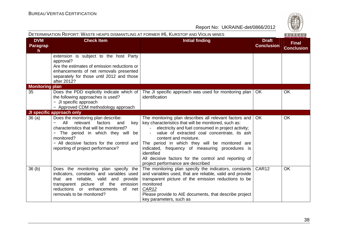| S<br>W<br>828      |
|--------------------|
| . .<br>œ<br>-<br>— |

|                              | DETERMINATION REPORT: WASTE HEAPS DISMANTLING AT FORMER #6, KURSTOP AND VIOLIN MINES                                                                                                                                                                           |                                                                                                                                                                                                                                                                                                                                                                                                                                                                |                                   | BUREAU                            |
|------------------------------|----------------------------------------------------------------------------------------------------------------------------------------------------------------------------------------------------------------------------------------------------------------|----------------------------------------------------------------------------------------------------------------------------------------------------------------------------------------------------------------------------------------------------------------------------------------------------------------------------------------------------------------------------------------------------------------------------------------------------------------|-----------------------------------|-----------------------------------|
| <b>DVM</b><br>Paragrap<br>h  | <b>Check Item</b>                                                                                                                                                                                                                                              | <b>Initial finding</b>                                                                                                                                                                                                                                                                                                                                                                                                                                         | <b>Draft</b><br><b>Conclusion</b> | <b>Final</b><br><b>Conclusion</b> |
|                              | extension is subject to the host Party<br>approval?<br>Are the estimates of emission reductions or<br>enhancements of net removals presented<br>separately for those until 2012 and those<br>after 2012?                                                       |                                                                                                                                                                                                                                                                                                                                                                                                                                                                |                                   |                                   |
| <b>Monitoring plan</b><br>35 | Does the PDD explicitly indicate which of<br>the following approaches is used?<br>- JI specific approach<br>- Approved CDM methodology approach                                                                                                                | The JI specific approach was used for monitoring plan<br>identification                                                                                                                                                                                                                                                                                                                                                                                        | <b>OK</b>                         | <b>OK</b>                         |
|                              | JI specific approach only                                                                                                                                                                                                                                      |                                                                                                                                                                                                                                                                                                                                                                                                                                                                |                                   |                                   |
| 36(a)                        | Does the monitoring plan describe:<br>All<br>relevant<br>factors<br>and<br>key<br>characteristics that will be monitored?<br>The period in which they will be<br>monitored?<br>- All decisive factors for the control and<br>reporting of project performance? | The monitoring plan describes all relevant factors and<br>key characteristics that will be monitored, such as:<br>electricity and fuel consumed in project activity;<br>value of extracted coal concentrate, its ash<br>content and moisture.<br>The period in which they will be monitored are<br>indicated, frequency of measuring procedures is<br>identified<br>All decisive factors for the control and reporting of<br>project performance are described | <b>OK</b>                         | OK                                |
| 36 <sub>(b)</sub>            | Does the monitoring plan specify the<br>indicators, constants and variables used<br>that are reliable, valid and provide<br>transparent picture of the emission<br>reductions or enhancements<br>of net<br>removals to be monitored?                           | The monitoring plan specify the indicators, constants<br>and variables used, that are reliable, valid and provide<br>transparent picture of the emission reductions to be<br>monitored<br>CAR <sub>12</sub><br>Please provide to AIE documents, that describe project<br>key parameters, such as                                                                                                                                                               | CAR12                             | <b>OK</b>                         |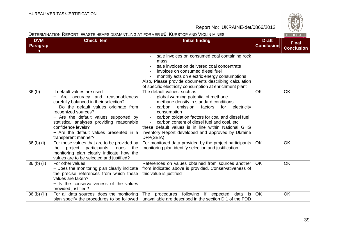

| DETERMINATION REPORT: WASTE HEAPS DISMANTLING AT FORMER #6, KURSTOP AND VIOLIN MINES |  |
|--------------------------------------------------------------------------------------|--|
|--------------------------------------------------------------------------------------|--|

|  | ۳ |  |  |
|--|---|--|--|
|  |   |  |  |

| <b>DVM</b>                       | <b>Check Item</b>                                                                                                                                                                                                                                                                                                                                                                   | <b>Initial finding</b>                                                                                                                                                                                                                                                                                                                                                                                                                        | <b>Draft</b>      | $    -$                           |
|----------------------------------|-------------------------------------------------------------------------------------------------------------------------------------------------------------------------------------------------------------------------------------------------------------------------------------------------------------------------------------------------------------------------------------|-----------------------------------------------------------------------------------------------------------------------------------------------------------------------------------------------------------------------------------------------------------------------------------------------------------------------------------------------------------------------------------------------------------------------------------------------|-------------------|-----------------------------------|
| <b>Paragrap</b><br>h.            |                                                                                                                                                                                                                                                                                                                                                                                     |                                                                                                                                                                                                                                                                                                                                                                                                                                               | <b>Conclusion</b> | <b>Final</b><br><b>Conclusion</b> |
|                                  |                                                                                                                                                                                                                                                                                                                                                                                     | sale invoices on consumed coal containing rock<br>mass<br>sale invoices on delivered coal concentrate<br>invoices on consumed diesel fuel<br>monthly acts on electric energy consumptions<br>Also, Please provide documents describing calculation<br>of specific electricity consumption at enrichment plant                                                                                                                                 |                   |                                   |
| 36(b)                            | If default values are used:<br>Are accuracy and reasonableness<br>$\overline{\phantom{0}}$<br>carefully balanced in their selection?<br>- Do the default values originate from<br>recognized sources?<br>- Are the default values supported by<br>statistical analyses providing reasonable<br>confidence levels?<br>- Are the default values presented in a<br>transparent manner? | The default values, such as:<br>global warming potential of methane<br>$\sim$<br>methane density in standard conditions<br>carbon<br>emission<br>factors<br>for<br>electricity<br>consumption<br>carbon oxidation factors for coal and diesel fuel<br>$\sim$ $^{-1}$<br>carbon content of diesel fuel and coal, etc<br>these default values is in line within National GHG<br>inventory Report developed and approved by Ukraine<br>DFP(SEIA) | <b>OK</b>         | <b>OK</b>                         |
| 36 <sub>(b)</sub> <sub>(i)</sub> | For those values that are to be provided by<br>project<br>participants,<br>does<br>the<br>the<br>monitoring plan clearly indicate how the<br>values are to be selected and justified?                                                                                                                                                                                               | For monitored data provided by the project participants<br>monitoring plan identify selection and justification                                                                                                                                                                                                                                                                                                                               | OK                | <b>OK</b>                         |
| 36 (b) (ii)                      | For other values.<br>- Does the monitoring plan clearly indicate<br>the precise references from which these<br>values are taken?<br>- Is the conservativeness of the values<br>provided justified?                                                                                                                                                                                  | References on values obtained from sources another<br>from indicated above is provided. Conservativeness of<br>this value is justified                                                                                                                                                                                                                                                                                                        | <b>OK</b>         | OK                                |
| 36 (b) (iii)                     | For all data sources, does the monitoring<br>plan specify the procedures to be followed                                                                                                                                                                                                                                                                                             | procedures following if expected<br>The<br>data is<br>unavailable are described in the section D.1 of the PDD                                                                                                                                                                                                                                                                                                                                 | OK                | OK                                |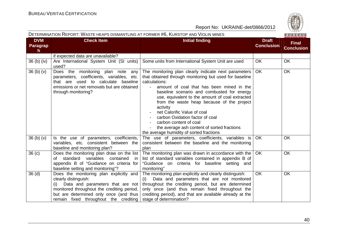BUREAU

| <b>DVM</b><br>Paragrap<br>h. | <b>Check Item</b><br><b>Initial finding</b>                                                                                                                                                                                                 |                                                                                                                                                                                                                                                                                                                                                                                                                                                                                                                                | <b>Draft</b><br><b>Conclusion</b> |           |
|------------------------------|---------------------------------------------------------------------------------------------------------------------------------------------------------------------------------------------------------------------------------------------|--------------------------------------------------------------------------------------------------------------------------------------------------------------------------------------------------------------------------------------------------------------------------------------------------------------------------------------------------------------------------------------------------------------------------------------------------------------------------------------------------------------------------------|-----------------------------------|-----------|
|                              | if expected data are unavailable?                                                                                                                                                                                                           |                                                                                                                                                                                                                                                                                                                                                                                                                                                                                                                                |                                   |           |
| 36 (b) (iv)                  | Are International System Unit (SI units)<br>used?                                                                                                                                                                                           | Some units from International System Unit are used                                                                                                                                                                                                                                                                                                                                                                                                                                                                             | <b>OK</b>                         | <b>OK</b> |
| 36 (b) (v)                   | Does the monitoring plan note any<br>parameters, coefficients, variables, etc.<br>that are used to calculate baseline<br>emissions or net removals but are obtained<br>through monitoring?                                                  | The monitoring plan clearly indicate next parameters<br>that obtained through monitoring but used for baseline<br>calculations:<br>amount of coal that has been mined in the<br>baseline scenario and combusted for energy<br>use, equivalent to the amount of coal extracted<br>from the waste heap because of the project<br>activity<br>net Calorific Value of coal<br>carbon Oxidation factor of coal<br>carbon content of coal<br>the average ash content of sorted fractions<br>the average humidity of sorted fractions | OK                                | <b>OK</b> |
| $36$ (b) (v)                 | Is the use of parameters, coefficients,<br>variables, etc. consistent between the<br>baseline and monitoring plan?                                                                                                                          | The use of parameters, coefficients, variables is<br>consistent between the baseline and the monitoring<br>plan                                                                                                                                                                                                                                                                                                                                                                                                                | <b>OK</b>                         | <b>OK</b> |
| $\overline{36}$ (c)          | Does the monitoring plan draw on the list<br>standard<br>variables<br>contained<br>of<br>-in<br>appendix B of "Guidance on criteria for<br>baseline setting and monitoring"?                                                                | The monitoring plan was drawn in accordance with the<br>list of standard variables contained in appendix B of<br>"Guidance on criteria for baseline setting and<br>monitoring"                                                                                                                                                                                                                                                                                                                                                 | <b>OK</b>                         | <b>OK</b> |
| $\overline{3}6$ (d)          | Does the monitoring plan explicitly and<br>clearly distinguish:<br>Data and parameters that are not<br>(i)<br>monitored throughout the crediting period,<br>but are determined only once (and thus<br>remain fixed throughout the crediting | The monitoring plan explicitly and clearly distinguish:<br>Data and parameters that are not monitored<br>(i)<br>throughout the crediting period, but are determined<br>only once (and thus remain fixed throughout the<br>crediting period), and that are available already at the<br>stage of determination?                                                                                                                                                                                                                  | <b>OK</b>                         | <b>OK</b> |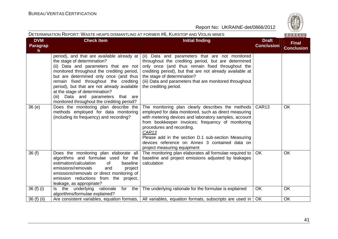|                             | DETERMINATION REPORT: WASTE HEAPS DISMANTLING AT FORMER #6, KURSTOP AND VIOLIN MINES                                                                                                                                                                                                                                                                                                                                     |                                                                                                                                                                                                                                                                                                                                                                                                                    |                                   | BUREAU                            |
|-----------------------------|--------------------------------------------------------------------------------------------------------------------------------------------------------------------------------------------------------------------------------------------------------------------------------------------------------------------------------------------------------------------------------------------------------------------------|--------------------------------------------------------------------------------------------------------------------------------------------------------------------------------------------------------------------------------------------------------------------------------------------------------------------------------------------------------------------------------------------------------------------|-----------------------------------|-----------------------------------|
| <b>DVM</b><br>Paragrap<br>h | <b>Check Item</b>                                                                                                                                                                                                                                                                                                                                                                                                        | <b>Initial finding</b>                                                                                                                                                                                                                                                                                                                                                                                             | <b>Draft</b><br><b>Conclusion</b> | <b>Final</b><br><b>Conclusion</b> |
|                             | period), and that are available already at<br>the stage of determination?<br>(ii) Data and parameters that are not<br>monitored throughout the crediting period,<br>but are determined only once (and thus<br>remain fixed throughout the crediting<br>period), but that are not already available<br>at the stage of determination?<br>(iii) Data and parameters that are<br>monitored throughout the crediting period? | (ii) Data and parameters that are not monitored<br>throughout the crediting period, but are determined<br>only once (and thus remain fixed throughout the<br>crediting period), but that are not already available at<br>the stage of determination?<br>(iii) Data and parameters that are monitored throughout<br>the crediting period.                                                                           |                                   |                                   |
| 36(e)                       | Does the monitoring plan describe the<br>methods employed for data monitoring<br>(including its frequency) and recording?                                                                                                                                                                                                                                                                                                | The monitoring plan clearly describes the methods<br>employed for data monitored, such as direct measuring<br>with metering devices and laboratory samples, account<br>from bookkeeper invoices; frequency of monitoring<br>procedures and recording.<br>CAR <sub>13</sub><br>Please add in the section D.1 sub-section Measuring<br>devices reference on Annex 3 contained data on<br>project measuring equipment | CAR <sub>13</sub>                 | OK                                |
| 36(f)                       | Does the monitoring plan elaborate all<br>algorithms and formulae used for the<br>estimation/calculation<br>baseline<br>of<br>emissions/removals<br>and<br>project<br>emissions/removals or direct monitoring of<br>emission reductions from the project,<br>leakage, as appropriate?                                                                                                                                    | The monitoring plan elaborates all formulae required to<br>baseline and project emissions adjusted by leakages<br>calculation                                                                                                                                                                                                                                                                                      | <b>OK</b>                         | <b>OK</b>                         |
| 36 (f) (i)                  | rationale<br>for the<br>Is the underlying<br>algorithms/formulae explained?                                                                                                                                                                                                                                                                                                                                              | The underlying rationale for the formulae is explained                                                                                                                                                                                                                                                                                                                                                             | <b>OK</b>                         | OK                                |
| 36 (f) (ii)                 |                                                                                                                                                                                                                                                                                                                                                                                                                          | Are consistent variables, equation formats,   All variables, equation formats, subscripts are used in                                                                                                                                                                                                                                                                                                              | OK                                | OK                                |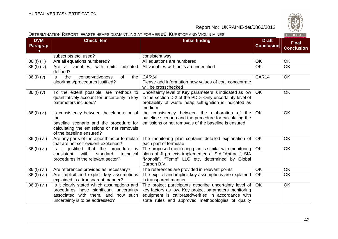#### DETERMINATION REPORT: WASTE HEAPS DISMANTLING AT FORMER #6, KURSTOP AND VIOLIN MINES

| <b>DVM</b>                      | <b>Check Item</b>                                                                                                                                                    | <b>Initial finding</b>                                                                                                                                                                                                      | <b>Draft</b>      | <b>Final</b>      |
|---------------------------------|----------------------------------------------------------------------------------------------------------------------------------------------------------------------|-----------------------------------------------------------------------------------------------------------------------------------------------------------------------------------------------------------------------------|-------------------|-------------------|
| <b>Paragrap</b><br>$\mathsf{h}$ |                                                                                                                                                                      |                                                                                                                                                                                                                             | <b>Conclusion</b> | <b>Conclusion</b> |
|                                 | subscripts etc. used?                                                                                                                                                | consistent way                                                                                                                                                                                                              |                   |                   |
| $36(f)$ (iii)                   | Are all equations numbered?                                                                                                                                          | All equations are numbered                                                                                                                                                                                                  | <b>OK</b>         | <b>OK</b>         |
| 36 (f) (iv)                     | Are all variables, with units indicated<br>defined?                                                                                                                  | All variables with units are indentified                                                                                                                                                                                    | <b>OK</b>         | <b>OK</b>         |
| 36(f)(v)                        | conservativeness<br>of<br>the<br>ls.<br>the<br>algorithms/procedures justified?                                                                                      | CAR14<br>Please add information how values of coal concentrate<br>will be crosschecked                                                                                                                                      | CAR14             | <b>OK</b>         |
| 36(f)(v)                        | To the extent possible, are methods to<br>quantitatively account for uncertainty in key<br>parameters included?                                                      | Uncertainty level of Key parameters is indicated as low<br>in the section D.2 of the PDD. Only uncertainty level of<br>probability of waste heap self-ignition is indicated as<br>medium                                    | $\overline{OK}$   | <b>OK</b>         |
| 36 (f) (vi)                     | Is consistency between the elaboration of<br>the<br>baseline scenario and the procedure for<br>calculating the emissions or net removals<br>of the baseline ensured? | the consistency between the elaboration of the<br>baseline scenario and the procedure for calculating the<br>emissions or net removals of the baseline is ensured                                                           | <b>OK</b>         | <b>OK</b>         |
| 36 (f) (vii)                    | Are any parts of the algorithms or formulae<br>that are not self-evident explained?                                                                                  | The monitoring plan contains detailed explanation of<br>each part of formulae                                                                                                                                               | OK                | <b>OK</b>         |
| 36 (f) (vii)                    | Is it justified that the procedure is<br>with<br>consistent<br>standard<br>technical<br>procedures in the relevant sector?                                           | The proposed monitoring plan is similar with monitoring<br>plans of JI projects implemented at SIA "Antracit", SIA<br>"Monolit", "Temp" LLC etc, determined by Global<br>Carbon B.V.                                        | <b>OK</b>         | <b>OK</b>         |
| 36 (f) (vii)                    | Are references provided as necessary?                                                                                                                                | The references are provided in relevant points                                                                                                                                                                              | OK                | OK                |
| 36 (f) (vii)                    | Are implicit and explicit key assumptions<br>explained in a transparent manner?                                                                                      | The explicit and implicit key assumptions are explained<br>in transparent manner                                                                                                                                            | OK                | <b>OK</b>         |
| 36 (f) (vii)                    | Is it clearly stated which assumptions and<br>procedures have significant uncertainty<br>associated with them, and how such<br>uncertainty is to be addressed?       | The project participants describe uncertainty level of<br>key factors as low. Key project parameters monitoring<br>equipment is calibrated/verified in accordance with<br>state rules and approved methodologies of quality | <b>OK</b>         | <b>OK</b>         |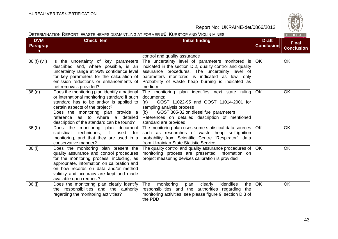|                                     | DETERMINATION REPORT: WASTE HEAPS DISMANTLING AT FORMER #6, KURSTOP AND VIOLIN MINES                                                                                                                                                                                                              |                                                                                                                                                                                                                                                                                  |                                   | BUREAU                            |
|-------------------------------------|---------------------------------------------------------------------------------------------------------------------------------------------------------------------------------------------------------------------------------------------------------------------------------------------------|----------------------------------------------------------------------------------------------------------------------------------------------------------------------------------------------------------------------------------------------------------------------------------|-----------------------------------|-----------------------------------|
| <b>DVM</b><br><b>Paragrap</b><br>h. | <b>Check Item</b>                                                                                                                                                                                                                                                                                 | <b>Initial finding</b>                                                                                                                                                                                                                                                           | <b>Draft</b><br><b>Conclusion</b> | <b>Final</b><br><b>Conclusion</b> |
|                                     |                                                                                                                                                                                                                                                                                                   | control and quality assurance                                                                                                                                                                                                                                                    |                                   |                                   |
| 36 (f) (vii)                        | Is the uncertainty of key parameters<br>described and, where possible, is an<br>uncertainty range at 95% confidence level<br>for key parameters for the calculation of<br>emission reductions or enhancements of<br>net removals provided?                                                        | The uncertainty level of parameters monitored is<br>indicated in the section D.2, quality control and quality<br>assurance procedures. The uncertainty level of<br>parameters monitored is indicated as low, only<br>Probability of waste heap burning is indicated as<br>medium | OK.                               | <b>OK</b>                         |
| 36 (g)                              | Does the monitoring plan identify a national<br>or international monitoring standard if such<br>standard has to be and/or is applied to<br>certain aspects of the project?<br>Does the monitoring plan provide a<br>reference as to where a detailed<br>description of the standard can be found? | The monitoring plan identifies next state ruling<br>documents:<br>GOST 11022-95 and GOST 11014-2001 for<br>(a)<br>sampling analysis process<br>GOST 305-82 on diesel fuel parameters<br>(b)<br>References on detailed description of mentioned<br>standard are provided          | <b>OK</b>                         | <b>OK</b>                         |
| 36 (h)                              | Does the monitoring plan document<br>statistical<br>techniques,<br>if<br>used<br>for<br>monitoring, and that they are used in a<br>conservative manner?                                                                                                                                           | The monitoring plan uses some statistical data sources<br>such as researches of waste heap self-ignition<br>probability from Scientific Centre "Respirator", data<br>from Ukrainian State Statistic Service                                                                      | <b>OK</b>                         | <b>OK</b>                         |
| 36 (i)                              | Does the monitoring plan present the<br>quality assurance and control procedures<br>for the monitoring process, including, as<br>appropriate, information on calibration and<br>on how records on data and/or method<br>validity and accuracy are kept and made<br>available upon request?        | The quality control and quality assurance procedures of<br>monitoring process are presented. Information on<br>project measuring devices calibration is provided                                                                                                                 | OK                                | <b>OK</b>                         |
| 36 (j)                              | Does the monitoring plan clearly identify<br>the responsibilities and the authority<br>regarding the monitoring activities?                                                                                                                                                                       | The<br>monitoring<br>plan<br>clearly<br>identifies<br>the<br>responsibilities and the authorities regarding<br>the<br>monitoring activities, see please figure 9, section D.3 of<br>the PDD                                                                                      | OK                                | <b>OK</b>                         |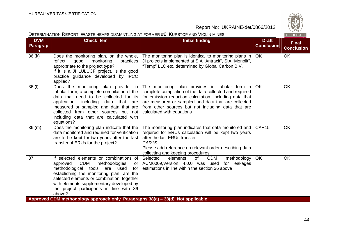| DETERMINATION REPORT: WASTE HEAPS DISMANTLING AT FORMER #6, KURSTOP AND VIOLIN MINES<br>BUREAU |                                                                                                                                                                                                                                                                                                                               |                                                                                                                                                                                                                                                                                                                |                                   |                                   |  |
|------------------------------------------------------------------------------------------------|-------------------------------------------------------------------------------------------------------------------------------------------------------------------------------------------------------------------------------------------------------------------------------------------------------------------------------|----------------------------------------------------------------------------------------------------------------------------------------------------------------------------------------------------------------------------------------------------------------------------------------------------------------|-----------------------------------|-----------------------------------|--|
| <b>DVM</b><br><b>Paragrap</b><br>h                                                             | <b>Check Item</b>                                                                                                                                                                                                                                                                                                             | <b>Initial finding</b>                                                                                                                                                                                                                                                                                         | <b>Draft</b><br><b>Conclusion</b> | <b>Final</b><br><b>Conclusion</b> |  |
| 36(k)                                                                                          | Does the monitoring plan, on the whole,<br>reflect<br>monitoring<br>good<br>practices<br>appropriate to the project type?<br>If it is a JI LULUCF project, is the good<br>practice guidance developed by IPCC<br>applied?                                                                                                     | The monitoring plan is identical to monitoring plans in<br>JI projects implemented at SIA "Antracit", SIA "Monolit",<br>"Temp" LLC etc, determined by Global Carbon B.V.                                                                                                                                       | <b>OK</b>                         | OK                                |  |
| 36(1)                                                                                          | Does the monitoring plan provide, in<br>tabular form, a complete compilation of the<br>data that need to be collected for its<br>application, including<br>data that are<br>measured or sampled and data that are<br>collected from other sources but not<br>including data that are calculated with<br>equations?            | The monitoring plan provides in tabular form a<br>complete compilation of the data collected and required<br>for emission reduction calculation, including data that<br>are measured or sampled and data that are collected<br>from other sources but not including data that are<br>calculated with equations | <b>OK</b>                         | OK                                |  |
| 36(m)                                                                                          | Does the monitoring plan indicate that the<br>data monitored and required for verification<br>are to be kept for two years after the last<br>transfer of ERUs for the project?                                                                                                                                                | The monitoring plan indicates that data monitored and<br>required for ERUs calculation will be kept two years<br>after the last ERUs transfer<br>CAR <sub>15</sub><br>Please add reference on relevant order describing data<br>collecting and keeping procedures                                              | CAR <sub>15</sub>                 | OK                                |  |
| 37                                                                                             | If selected elements or combinations of<br><b>CDM</b><br>methodologies<br>approved<br>or<br>methodological tools are used<br>for<br>establishing the monitoring plan, are the<br>selected elements or combination, together<br>with elements supplementary developed by<br>the project participants in line with 36<br>above? | Selected<br>elements<br>of<br><b>CDM</b><br>methodology<br>ACM0009, Version 4.0.0 was used for leakages<br>estimations in line within the section 36 above                                                                                                                                                     | <b>OK</b>                         | OK                                |  |
|                                                                                                | Approved CDM methodology approach only_Paragraphs 38(a) – 38(d)_Not applicable                                                                                                                                                                                                                                                |                                                                                                                                                                                                                                                                                                                |                                   |                                   |  |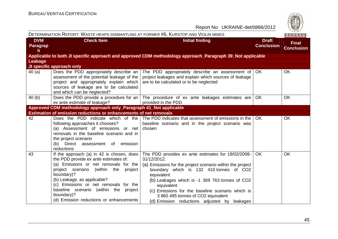| DETERMINATION REPORT: WASTE HEAPS DISMANTLING AT FORMER #6, KURSTOP AND VIOLIN MINES<br>BUREAU |                                                                                                                                                                                                                                                                                                                                                                |                                                                                                                                                                                                                                                                                                                                                                                                   |                                   |                                   |
|------------------------------------------------------------------------------------------------|----------------------------------------------------------------------------------------------------------------------------------------------------------------------------------------------------------------------------------------------------------------------------------------------------------------------------------------------------------------|---------------------------------------------------------------------------------------------------------------------------------------------------------------------------------------------------------------------------------------------------------------------------------------------------------------------------------------------------------------------------------------------------|-----------------------------------|-----------------------------------|
| <b>DVM</b><br><b>Paragrap</b><br>h                                                             | <b>Check Item</b>                                                                                                                                                                                                                                                                                                                                              | <b>Initial finding</b>                                                                                                                                                                                                                                                                                                                                                                            | <b>Draft</b><br><b>Conclusion</b> | <b>Final</b><br><b>Conclusion</b> |
|                                                                                                |                                                                                                                                                                                                                                                                                                                                                                | Applicable to both JI specific approach and approved CDM methodology approach_Paragraph 39_Not applicable                                                                                                                                                                                                                                                                                         |                                   |                                   |
| Leakage                                                                                        |                                                                                                                                                                                                                                                                                                                                                                |                                                                                                                                                                                                                                                                                                                                                                                                   |                                   |                                   |
|                                                                                                | JI specific approach only                                                                                                                                                                                                                                                                                                                                      |                                                                                                                                                                                                                                                                                                                                                                                                   |                                   |                                   |
| 40(a)                                                                                          | Does the PDD appropriately describe an  <br>assessment of the potential leakage of the<br>project and appropriately explain which<br>sources of leakage are to be calculated<br>and which can be neglected?                                                                                                                                                    | The PDD appropriately describe an assessment of<br>project leakages and explain which sources of leakage<br>are to be calculated or to be neglected                                                                                                                                                                                                                                               | OK                                | <b>OK</b>                         |
| 40(b)                                                                                          | ex ante estimate of leakage?                                                                                                                                                                                                                                                                                                                                   | Does the PDD provide a procedure for an $\vert$ The procedure of ex ante leakages estimates are<br>provided in the PDD                                                                                                                                                                                                                                                                            | OK                                | <b>OK</b>                         |
|                                                                                                | Approved CDM methodology approach only_Paragraph 41_Not applicable                                                                                                                                                                                                                                                                                             |                                                                                                                                                                                                                                                                                                                                                                                                   |                                   |                                   |
|                                                                                                | Estimation of emission reductions or enhancements of net removals                                                                                                                                                                                                                                                                                              |                                                                                                                                                                                                                                                                                                                                                                                                   |                                   |                                   |
| 42                                                                                             | Does the PDD indicate which of the<br>following approaches it chooses?<br>(a) Assessment of emissions or net<br>removals in the baseline scenario and in<br>the project scenario<br>(b) Direct assessment of emission<br>reductions                                                                                                                            | The PDD indicates that assessment of emissions in the<br>baseline scenario and in the project scenario was<br>chosen                                                                                                                                                                                                                                                                              | OK.                               | <b>OK</b>                         |
| 43                                                                                             | If the approach (a) in 42 is chosen, does<br>the PDD provide ex ante estimates of:<br>(a) Emissions or net removals for the<br>project scenario (within the<br>project<br>boundary)?<br>(b) Leakage, as applicable?<br>(c) Emissions or net removals for the<br>baseline scenario (within the project<br>boundary)?<br>(d) Emission reductions or enhancements | The PDD provides ex ante estimates for 18/02/2008-<br>31/12/2012:<br>(a) Emissions for the project scenario within the project<br>boundary which is 132 410 tonnes of CO2<br>equivalent<br>(b) Leakages which is -1 369 763 tonnes of CO2<br>equivalent<br>(c) Emissions for the baseline scenario which is<br>3 860 495 tonnes of CO2 equivalent<br>(d) Emission reductions adjusted by leakages | <b>OK</b>                         | <b>OK</b>                         |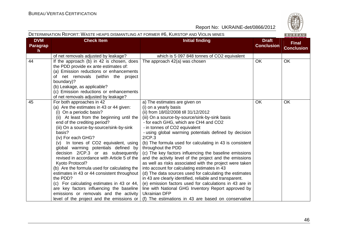| DETERMINATION REPORT: WASTE HEAPS DISMANTLING AT FORMER #6, KURSTOP AND VIOLIN MINES<br>BUREAU |                                                                                                                                                                                                                                                                                                                                                                                                                                                                                                                                                                                                                                                                                                                                                  |                                                                                                                                                                                                                                                                                                                                                                                                                                                                                                                                                                                                                                                                                                                                                                                                                                                                                                                                        |                                   |                                   |
|------------------------------------------------------------------------------------------------|--------------------------------------------------------------------------------------------------------------------------------------------------------------------------------------------------------------------------------------------------------------------------------------------------------------------------------------------------------------------------------------------------------------------------------------------------------------------------------------------------------------------------------------------------------------------------------------------------------------------------------------------------------------------------------------------------------------------------------------------------|----------------------------------------------------------------------------------------------------------------------------------------------------------------------------------------------------------------------------------------------------------------------------------------------------------------------------------------------------------------------------------------------------------------------------------------------------------------------------------------------------------------------------------------------------------------------------------------------------------------------------------------------------------------------------------------------------------------------------------------------------------------------------------------------------------------------------------------------------------------------------------------------------------------------------------------|-----------------------------------|-----------------------------------|
| <b>DVM</b><br>Paragrap<br>h                                                                    | <b>Check Item</b>                                                                                                                                                                                                                                                                                                                                                                                                                                                                                                                                                                                                                                                                                                                                | <b>Initial finding</b>                                                                                                                                                                                                                                                                                                                                                                                                                                                                                                                                                                                                                                                                                                                                                                                                                                                                                                                 | <b>Draft</b><br><b>Conclusion</b> | <b>Final</b><br><b>Conclusion</b> |
|                                                                                                | of net removals adjusted by leakage?                                                                                                                                                                                                                                                                                                                                                                                                                                                                                                                                                                                                                                                                                                             | which is 5 097 848 tonnes of CO2 equivalent                                                                                                                                                                                                                                                                                                                                                                                                                                                                                                                                                                                                                                                                                                                                                                                                                                                                                            |                                   |                                   |
| 44                                                                                             | If the approach (b) in 42 is chosen, does<br>the PDD provide ex ante estimates of:<br>(a) Emission reductions or enhancements<br>of net removals (within the project<br>boundary)?<br>(b) Leakage, as applicable?<br>(c) Emission reductions or enhancements<br>of net removals adjusted by leakage?                                                                                                                                                                                                                                                                                                                                                                                                                                             | The approach 42(a) was chosen                                                                                                                                                                                                                                                                                                                                                                                                                                                                                                                                                                                                                                                                                                                                                                                                                                                                                                          | <b>OK</b>                         | <b>OK</b>                         |
| 45                                                                                             | For both approaches in 42<br>(a) Are the estimates in 43 or 44 given:<br>(i) On a periodic basis?<br>(ii) At least from the beginning until the<br>end of the crediting period?<br>(iii) On a source-by-source/sink-by-sink<br>basis?<br>(iv) For each GHG?<br>(v) In tones of CO2 equivalent, using<br>global warming potentials defined by<br>decision 2/CP.3 or as subsequently<br>revised in accordance with Article 5 of the<br>Kyoto Protocol?<br>(b) Are the formula used for calculating the<br>estimates in 43 or 44 consistent throughout<br>the PDD?<br>(c) For calculating estimates in 43 or 44,<br>are key factors influencing the baseline<br>emissions or removals and the activity<br>level of the project and the emissions or | a) The estimates are given on<br>(i) on a yearly basis<br>(ii) from 18/02/2008 till 31/12/2012<br>(iii) On a source-by-source/sink-by-sink basis<br>- for each GHG, which are CH4 and CO2<br>- in tonnes of CO2 equivalent<br>- using global warming potentials defined by decision<br>2/CP.3<br>(b) The formula used for calculating in 43 is consistent<br>throughout the PDD<br>(c) The key factors influencing the baseline emissions<br>and the activity level of the project and the emissions<br>as well as risks associated with the project were taken<br>into account for calculating estimates in 43<br>(d) The data sources used for calculating the estimates<br>in 43 are clearly identified, reliable and transparent.<br>(e) emission factors used for calculations in 43 are in<br>line with National GHG Inventory Report approved by<br><b>Ukrainian DFP</b><br>(f) The estimations in 43 are based on conservative | <b>OK</b>                         | OK                                |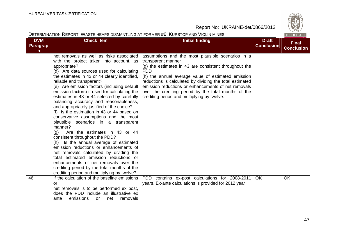|                                    | DETERMINATION REPORT: WASTE HEAPS DISMANTLING AT FORMER #6, KURSTOP AND VIOLIN MINES<br>BUREAU                                                                                                                                                                                                                                                                                                                                                                                                                                                                                                                                                                                                                                                                                                                                                                                                                                                                                                            |                                                                                                                                                                                                                                                                                                                                                                                                                                |                                   |                                   |  |
|------------------------------------|-----------------------------------------------------------------------------------------------------------------------------------------------------------------------------------------------------------------------------------------------------------------------------------------------------------------------------------------------------------------------------------------------------------------------------------------------------------------------------------------------------------------------------------------------------------------------------------------------------------------------------------------------------------------------------------------------------------------------------------------------------------------------------------------------------------------------------------------------------------------------------------------------------------------------------------------------------------------------------------------------------------|--------------------------------------------------------------------------------------------------------------------------------------------------------------------------------------------------------------------------------------------------------------------------------------------------------------------------------------------------------------------------------------------------------------------------------|-----------------------------------|-----------------------------------|--|
| <b>DVM</b><br><b>Paragrap</b><br>h | <b>Check Item</b>                                                                                                                                                                                                                                                                                                                                                                                                                                                                                                                                                                                                                                                                                                                                                                                                                                                                                                                                                                                         | <b>Initial finding</b>                                                                                                                                                                                                                                                                                                                                                                                                         | <b>Draft</b><br><b>Conclusion</b> | <b>Final</b><br><b>Conclusion</b> |  |
|                                    | net removals as well as risks associated<br>with the project taken into account, as<br>appropriate?<br>(d) Are data sources used for calculating<br>the estimates in 43 or 44 clearly identified,<br>reliable and transparent?<br>(e) Are emission factors (including default<br>emission factors) if used for calculating the<br>estimates in 43 or 44 selected by carefully<br>balancing accuracy and reasonableness,<br>and appropriately justified of the choice?<br>(f) Is the estimation in 43 or 44 based on<br>conservative assumptions and the most<br>plausible scenarios in a transparent<br>manner?<br>Are the estimates in 43 or 44<br>(q)<br>consistent throughout the PDD?<br>(h) Is the annual average of estimated<br>emission reductions or enhancements of<br>net removals calculated by dividing the<br>total estimated emission reductions or<br>enhancements of net removals over the<br>crediting period by the total months of the<br>crediting period and multiplying by twelve? | assumptions and the most plausible scenarios in a<br>transparent manner<br>(g) the estimates in 43 are consistent throughout the<br><b>PDD</b><br>(h) the annual average value of estimated emission<br>reductions is calculated by dividing the total estimated<br>emission reductions or enhancements of net removals<br>over the crediting period by the total months of the<br>crediting period and multiplying by twelve. |                                   |                                   |  |
| 46                                 | If the calculation of the baseline emissions<br>or<br>net removals is to be performed ex post,<br>does the PDD include an illustrative ex<br>emissions<br>ante<br>net<br>removals<br><b>or</b>                                                                                                                                                                                                                                                                                                                                                                                                                                                                                                                                                                                                                                                                                                                                                                                                            | PDD contains ex-post calculations for 2008-2011<br>years. Ex-ante calculations is provided for 2012 year                                                                                                                                                                                                                                                                                                                       | <b>OK</b>                         | <b>OK</b>                         |  |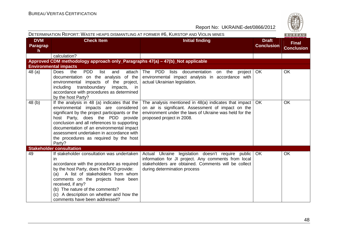| ί.          |
|-------------|
| S<br>ν<br>۰ |
| 828         |

|                              | DETERMINATION REPORT: WASTE HEAPS DISMANTLING AT FORMER #6, KURSTOP AND VIOLIN MINES                                                                                                                                                                                                                                                                                  |                                                                                                                                                                                                      |                                   | BUREAU                            |
|------------------------------|-----------------------------------------------------------------------------------------------------------------------------------------------------------------------------------------------------------------------------------------------------------------------------------------------------------------------------------------------------------------------|------------------------------------------------------------------------------------------------------------------------------------------------------------------------------------------------------|-----------------------------------|-----------------------------------|
| <b>DVM</b><br>Paragrap<br>h. | <b>Check Item</b>                                                                                                                                                                                                                                                                                                                                                     | <b>Initial finding</b>                                                                                                                                                                               | <b>Draft</b><br><b>Conclusion</b> | <b>Final</b><br><b>Conclusion</b> |
|                              | calculation?                                                                                                                                                                                                                                                                                                                                                          |                                                                                                                                                                                                      |                                   |                                   |
|                              | Approved CDM methodology approach only_Paragraphs 47(a) - 47(b)_Not applicable                                                                                                                                                                                                                                                                                        |                                                                                                                                                                                                      |                                   |                                   |
|                              | <b>Environmental impacts</b>                                                                                                                                                                                                                                                                                                                                          |                                                                                                                                                                                                      |                                   |                                   |
| 48 (a)                       | <b>Does</b><br><b>PDD</b><br>the<br>list<br>and<br>attach<br>documentation on the analysis<br>of the<br>environmental impacts of the project,<br>transboundary<br>including<br>impacts, in<br>accordance with procedures as determined<br>by the host Party?                                                                                                          | The PDD<br>lists documentation on the project OK<br>environmental impact analysis in accordance with<br>actual Ukrainian legislation.                                                                |                                   | <b>OK</b>                         |
| 48 (b)                       | If the analysis in 48 (a) indicates that the<br>environmental impacts are considered<br>significant by the project participants or the<br>host Party, does the PDD provide<br>conclusion and all references to supporting<br>documentation of an environmental impact<br>assessment undertaken in accordance with<br>the procedures as required by the host<br>Party? | The analysis mentioned in $48(a)$ indicates that impact<br>on air is significant. Assessment of impact on the<br>environment under the laws of Ukraine was held for the<br>proposed project in 2008. | OK.                               | <b>OK</b>                         |
|                              | <b>Stakeholder consultation</b>                                                                                                                                                                                                                                                                                                                                       |                                                                                                                                                                                                      |                                   |                                   |
| 49                           | If stakeholder consultation was undertaken<br><i>in</i><br>accordance with the procedure as required<br>by the host Party, does the PDD provide:<br>(a) A list of stakeholders from whom<br>comments on the projects have been<br>received, if any?<br>(b) The nature of the comments?<br>(c) A description on whether and how the<br>comments have been addressed?   | Actual Ukraine legislation doesn't require public OK<br>information for JI project. Any comments from local<br>stakeholders are obtained. Comments will be collect<br>during determination process   |                                   | <b>OK</b>                         |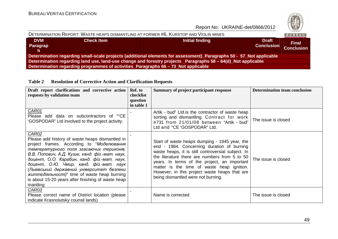

| DETERMINATION REPORT: WASTE HEAPS DISMANTLING AT FORMER #6, KURSTOP AND VIOLIN MINES                         |                                                                                                                     |                 |                                   |                                   |  |  |  |
|--------------------------------------------------------------------------------------------------------------|---------------------------------------------------------------------------------------------------------------------|-----------------|-----------------------------------|-----------------------------------|--|--|--|
| <b>DVM</b><br><b>Paragrap</b><br>h.                                                                          | <b>Check Item</b>                                                                                                   | Initial finding | <b>Draft</b><br><b>Conclusion</b> | <b>Final</b><br><b>Conclusion</b> |  |  |  |
|                                                                                                              | Determination regarding small-scale projects (additional elements for assessment)_Paragraphs 50 - 57_Not applicable |                 |                                   |                                   |  |  |  |
| Determination regarding land use, land-use change and forestry projects Paragraphs 58 – 64(d) Not applicable |                                                                                                                     |                 |                                   |                                   |  |  |  |
|                                                                                                              | Determination regarding programmes of activities_Paragraphs 66 - 73_Not applicable                                  |                 |                                   |                                   |  |  |  |

**Table 2 Resolution of Corrective Action and Clarification Requests** 

| Draft report clarifications and corrective action<br>requests by validation team                                                                                                                                                                                                                                                                                                                                                                                      | Ref. to<br>checklist<br>question<br>in table 1 | Summary of project participant response                                                                                                                                                                                                                                                                                                                                                 | <b>Determination team conclusion</b> |
|-----------------------------------------------------------------------------------------------------------------------------------------------------------------------------------------------------------------------------------------------------------------------------------------------------------------------------------------------------------------------------------------------------------------------------------------------------------------------|------------------------------------------------|-----------------------------------------------------------------------------------------------------------------------------------------------------------------------------------------------------------------------------------------------------------------------------------------------------------------------------------------------------------------------------------------|--------------------------------------|
| CAR01<br>Please add data on subcontractors of ""CE<br>'GOSPODAR" Ltd involved to the project activity.                                                                                                                                                                                                                                                                                                                                                                |                                                | Artik - bud" Ltd. is the contractor of waste heap<br>sorting and dismantling. Contract for work<br>#731 from 21/01/08 between "Artik - bud"<br>Ltd and "CE 'GOSPODAR" Ltd.                                                                                                                                                                                                              | The issue is closed                  |
| CAR02<br>Please add history of waste heaps dismantled in<br>project frames. According to "Моделювання<br>температурного поля згасаючих териконів,<br>В.В. Попович, А.Д. Кузик, канд. фіз.-мат. наук,<br>доцент, О.О. Карабин, канд. фіз.-мат. наук,<br>доцент, О.Ю. Чмир, канд. фіз.-мат. наук<br>(Львівський державний університет безпеки<br><i>життедіяльності)</i> " time of waste heap burning<br>is about 15-20 years after finishing of waste heap<br>mantling |                                                | Start of waste heaps dumping - 1945 year, the<br>end - 1984. Concerning duration of burning<br>waste heaps, it is still controversial subject. In<br>the literature there are numbers from 5 to 50<br>years. In terms of the project, an important<br>matter is the time of waste heap ignition.<br>However, in this project waste heaps that are<br>being dismantled were not burning. | The issue is closed                  |
| CAR03<br>Please correct name of District location (please<br>indicate Krasnolutsky counsil lands)                                                                                                                                                                                                                                                                                                                                                                     |                                                | Name is corrected                                                                                                                                                                                                                                                                                                                                                                       | The issue is closed                  |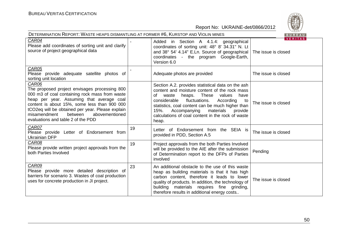| DETERMINATION REPORT: WASTE HEAPS DISMANTLING AT FORMER #6, KURSTOP AND VIOLIN MINES<br>BUREAU                                                                                                                                                                                                                                               |    |                                                                                                                                                                                                                                                                                                                                                                     |                                       |  |  |
|----------------------------------------------------------------------------------------------------------------------------------------------------------------------------------------------------------------------------------------------------------------------------------------------------------------------------------------------|----|---------------------------------------------------------------------------------------------------------------------------------------------------------------------------------------------------------------------------------------------------------------------------------------------------------------------------------------------------------------------|---------------------------------------|--|--|
| CAR04<br>Please add coordinates of sorting unit and clarify<br>source of project geographical data                                                                                                                                                                                                                                           |    | Added in Section A 4.1.4: geographical<br>coordinates of sorting unit: 48° 8' 34.31" N. Lt<br>and 38° 54' 4.14" E.Ln. Source of geographical<br>coordinates - the program Google-Earth,<br>Version 6.0                                                                                                                                                              | <b>VERITAS</b><br>The issue is closed |  |  |
| CAR05<br>Please provide adequate satellite photos of<br>sorting unit location                                                                                                                                                                                                                                                                |    | Adequate photos are provided                                                                                                                                                                                                                                                                                                                                        | The issue is closed                   |  |  |
| CAR06<br>The proposed project envisages processing 800<br>000 m3 of coal containing rock mass from waste<br>heap per year. Assuming that average coal<br>content is about 15%, some less than 900 000<br>tCO2eq will be obtained per year. Please explain<br>abovementioned<br>misamendment<br>between<br>evaluations and table 2 of the PDD |    | Section A.2. provides statistical data on the ash<br>content and moisture content of the rock mass<br>of<br>waste heaps. These values<br>have<br>According<br>considerable<br>fluctuations.<br>to<br>statistics, coal content can be much higher than<br>15%.<br>materials<br>Accompanying<br>provide<br>calculations of coal content in the rock of waste<br>heap. | The issue is closed                   |  |  |
| CAR07<br>Please provide Letter of Endorsement from<br>Ukrainian DFP                                                                                                                                                                                                                                                                          | 19 | Letter of Endorsement from the SEIA is<br>provided in PDD, Section A.5                                                                                                                                                                                                                                                                                              | The issue is closed                   |  |  |
| CAR08<br>Please provide written project approvals from the<br>both Parties Involved                                                                                                                                                                                                                                                          | 19 | Project approvals from the both Parties Involved<br>will be provided to the AIE after the submission<br>of Determination report to the DFPs of Parties<br>involved                                                                                                                                                                                                  | Pending                               |  |  |
| CAR09<br>Please provide more detailed description of<br>barriers for scenario 3. Wastes of coal production<br>uses for concrete production in JI project.                                                                                                                                                                                    | 23 | An additional obstacle to the use of this waste<br>heap as building materials is that it has high<br>carbon content, therefore it leads to lower<br>quality of products. In addition, the technology of<br>building materials requires fine grinding,<br>therefore results in additional energy costs                                                               | The issue is closed                   |  |  |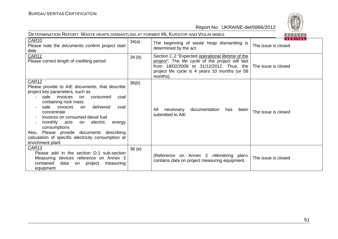| DETERMINATION REPORT: WASTE HEAPS DISMANTLING AT FORMER #6, KURSTOP AND VIOLIN MINES<br>BUREAU                                                                                                                                                                                                                                                                                                                                                                                                    |       |                                                                                                                                                                                                                  |                                       |  |  |
|---------------------------------------------------------------------------------------------------------------------------------------------------------------------------------------------------------------------------------------------------------------------------------------------------------------------------------------------------------------------------------------------------------------------------------------------------------------------------------------------------|-------|------------------------------------------------------------------------------------------------------------------------------------------------------------------------------------------------------------------|---------------------------------------|--|--|
| CAR <sub>10</sub><br>Please note the documents confirm project start<br>date                                                                                                                                                                                                                                                                                                                                                                                                                      | 34(a) | The beginning of waste heap dismantling is<br>determined by the act.                                                                                                                                             | <b>VERITAS</b><br>The issue is closed |  |  |
| CAR11<br>Please correct length of crediting period                                                                                                                                                                                                                                                                                                                                                                                                                                                | 34(b) | Section C.2 "Expected operational lifetime of the<br>project": The life cycle of the project will last<br>from 18/02/2008 to 31/12/2012. Thus, the<br>project life cycle is 4 years 10 months (or 58<br>months). | The issue is closed                   |  |  |
| CAR <sub>12</sub><br>Please provide to AIE documents, that describe<br>project key parameters, such as<br>sale<br>invoices<br>consumed<br>coal<br>on.<br>containing rock mass<br>delivered<br>sale<br>invoices<br>coal<br>on<br>$\overline{\phantom{a}}$<br>concentrate<br>invoices on consumed diesel fuel<br>monthly<br>acts<br>electric<br>energy<br>on<br>consumptions<br>Also, Please provide documents describing<br>calculation of specific electricity consumption at<br>enrichment plant | 36(b) | documentation<br>All<br>necessary<br>has<br>been<br>submitted to AIE                                                                                                                                             | The issue is closed                   |  |  |
| CAR <sub>13</sub><br>Please add in the section D.1 sub-section<br>Measuring devices reference on Annex 3<br>contained<br>data<br>on project<br>measuring<br>equipment                                                                                                                                                                                                                                                                                                                             | 36(e) | (Reference on Annex 3 «Monitiring plan»<br>contains data on project measuring equipment.                                                                                                                         | The issue is closed                   |  |  |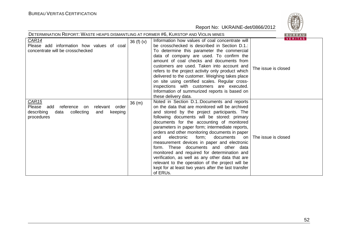

| DETERMINATION REPORT: WASTE HEAPS DISMANTLING AT FORMER #6, KURSTOP AND VIOLIN MINES                                                   | BUREAU   |                                                                                                                                                                                                                                                                                                                                                                                                                                                                                                                                                                                                                                                                                                                   |                                       |
|----------------------------------------------------------------------------------------------------------------------------------------|----------|-------------------------------------------------------------------------------------------------------------------------------------------------------------------------------------------------------------------------------------------------------------------------------------------------------------------------------------------------------------------------------------------------------------------------------------------------------------------------------------------------------------------------------------------------------------------------------------------------------------------------------------------------------------------------------------------------------------------|---------------------------------------|
| CAR14<br>Please add information how values of coal<br>concentrate will be crosschecked                                                 | 36(f)(v) | Information how values of coal concentrate will<br>be crosschecked is described in Section D.1.:<br>To determine this parameter the commercial<br>data of company are used. To confirm the<br>amount of coal checks and documents from<br>customers are used. Taken into account and<br>refers to the project activity only product which<br>delivered to the customer. Weighing takes place<br>on site using certified scales. Regular cross-<br>inspections with customers are executed.<br>Information of summurized reports is based on<br>these delivery data.                                                                                                                                               | <b>VERITAS</b><br>The issue is closed |
| <b>CAR15</b><br>reference<br>relevant<br>order<br>Please add<br>on<br>describing<br>collecting<br>data<br>keeping<br>and<br>procedures | 36(m)    | Noted in Section D.1.:Documents and reports<br>on the data that are monitored will be archived<br>and stored by the project participants. The<br>following documents will be stored: primary<br>documents for the accounting of monitored<br>parameters in paper form; intermediate reports,<br>orders and other monitoring documents in paper<br>electronic<br>and<br>form;<br>documents<br>on<br>measurement devices in paper and electronic<br>form. These documents and other data<br>monitored and required for determination and<br>verification, as well as any other data that are<br>relevant to the operation of the project will be<br>kept for at least two years after the last transfer<br>of ERUs. | The issue is closed                   |